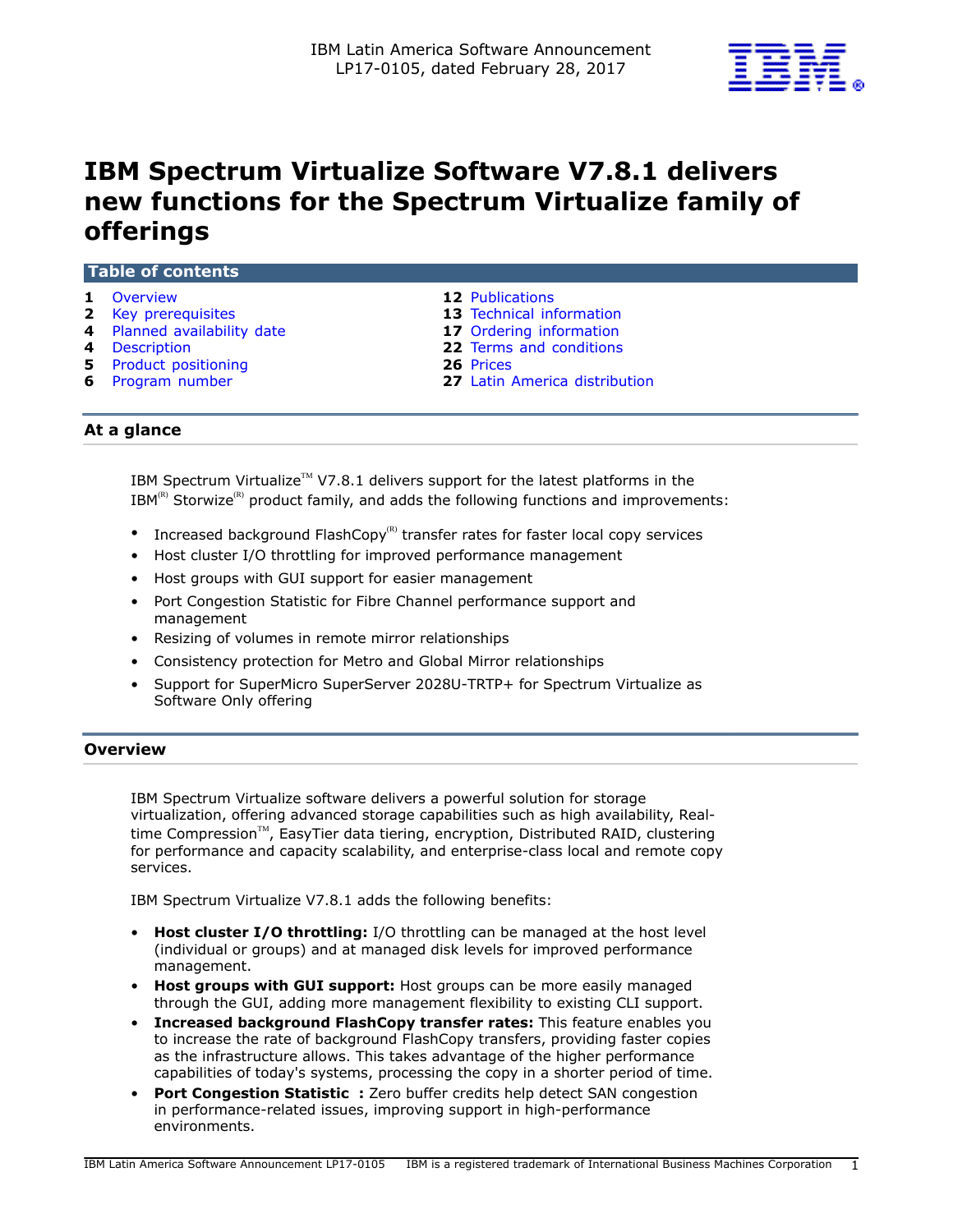

# **IBM Spectrum Virtualize Software V7.8.1 delivers new functions for the Spectrum Virtualize family of offerings**

| HADIG VI LUIRGHLS            |                               |  |
|------------------------------|-------------------------------|--|
| 1 Overview                   | <b>12 Publications</b>        |  |
| 2 Key prerequisites          | 13 Technical information      |  |
| 4 Planned availability date  | 17 Ordering information       |  |
| 4 Description                | 22 Terms and conditions       |  |
| <b>5</b> Product positioning | 26 Prices                     |  |
| <b>6</b> Program number      | 27 Latin America distribution |  |
|                              |                               |  |

**At a glance**

**Table of contents**

IBM Spectrum Virtualize<sup>TM</sup> V7.8.1 delivers support for the latest platforms in the  $IBM^{(R)}$  Storwize<sup>(R)</sup> product family, and adds the following functions and improvements:

- Increased background FlashCopy $<sup>(R)</sup>$  transfer rates for faster local copy services</sup>
- Host cluster I/O throttling for improved performance management
- Host groups with GUI support for easier management
- Port Congestion Statistic for Fibre Channel performance support and management
- Resizing of volumes in remote mirror relationships
- Consistency protection for Metro and Global Mirror relationships
- Support for SuperMicro SuperServer 2028U-TRTP+ for Spectrum Virtualize as Software Only offering

## <span id="page-0-0"></span>**Overview**

IBM Spectrum Virtualize software delivers a powerful solution for storage virtualization, offering advanced storage capabilities such as high availability, Realtime Compression™, EasyTier data tiering, encryption, Distributed RAID, clustering for performance and capacity scalability, and enterprise-class local and remote copy services.

IBM Spectrum Virtualize V7.8.1 adds the following benefits:

- **Host cluster I/O throttling:** I/O throttling can be managed at the host level (individual or groups) and at managed disk levels for improved performance management.
- **Host groups with GUI support:** Host groups can be more easily managed through the GUI, adding more management flexibility to existing CLI support.
- **Increased background FlashCopy transfer rates:** This feature enables you to increase the rate of background FlashCopy transfers, providing faster copies as the infrastructure allows. This takes advantage of the higher performance capabilities of today's systems, processing the copy in a shorter period of time.
- **Port Congestion Statistic :** Zero buffer credits help detect SAN congestion in performance-related issues, improving support in high-performance environments.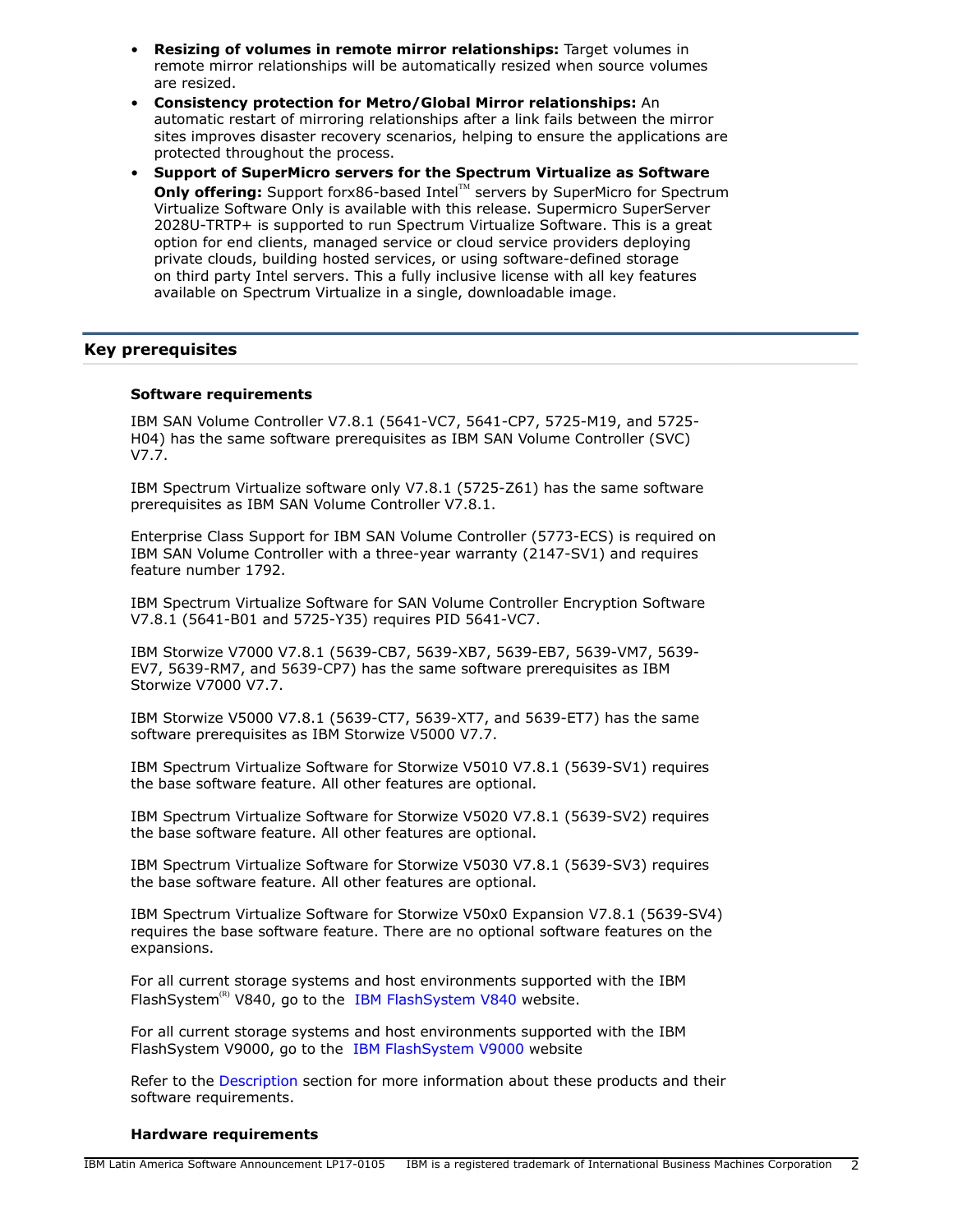- **Resizing of volumes in remote mirror relationships:** Target volumes in remote mirror relationships will be automatically resized when source volumes are resized.
- **Consistency protection for Metro/Global Mirror relationships:** An automatic restart of mirroring relationships after a link fails between the mirror sites improves disaster recovery scenarios, helping to ensure the applications are protected throughout the process.
- **Support of SuperMicro servers for the Spectrum Virtualize as Software Only offering:** Support forx86-based Intel™ servers by SuperMicro for Spectrum Virtualize Software Only is available with this release. Supermicro SuperServer 2028U-TRTP+ is supported to run Spectrum Virtualize Software. This is a great option for end clients, managed service or cloud service providers deploying private clouds, building hosted services, or using software-defined storage on third party Intel servers. This a fully inclusive license with all key features available on Spectrum Virtualize in a single, downloadable image.

## <span id="page-1-0"></span>**Key prerequisites**

## **Software requirements**

IBM SAN Volume Controller V7.8.1 (5641-VC7, 5641-CP7, 5725-M19, and 5725- H04) has the same software prerequisites as IBM SAN Volume Controller (SVC) V7.7.

IBM Spectrum Virtualize software only V7.8.1 (5725-Z61) has the same software prerequisites as IBM SAN Volume Controller V7.8.1.

Enterprise Class Support for IBM SAN Volume Controller (5773-ECS) is required on IBM SAN Volume Controller with a three-year warranty (2147-SV1) and requires feature number 1792.

IBM Spectrum Virtualize Software for SAN Volume Controller Encryption Software V7.8.1 (5641-B01 and 5725-Y35) requires PID 5641-VC7.

IBM Storwize V7000 V7.8.1 (5639-CB7, 5639-XB7, 5639-EB7, 5639-VM7, 5639- EV7, 5639-RM7, and 5639-CP7) has the same software prerequisites as IBM Storwize V7000 V7.7.

IBM Storwize V5000 V7.8.1 (5639-CT7, 5639-XT7, and 5639-ET7) has the same software prerequisites as IBM Storwize V5000 V7.7.

IBM Spectrum Virtualize Software for Storwize V5010 V7.8.1 (5639-SV1) requires the base software feature. All other features are optional.

IBM Spectrum Virtualize Software for Storwize V5020 V7.8.1 (5639-SV2) requires the base software feature. All other features are optional.

IBM Spectrum Virtualize Software for Storwize V5030 V7.8.1 (5639-SV3) requires the base software feature. All other features are optional.

IBM Spectrum Virtualize Software for Storwize V50x0 Expansion V7.8.1 (5639-SV4) requires the base software feature. There are no optional software features on the expansions.

For all current storage systems and host environments supported with the IBM FlashSystem<sup>(R)</sup> V840, go to the [IBM FlashSystem V840](https://www-947.ibm.com/support/entry/portal/product/system_storage/flash_storage/flash_high_availability_systems/ibm_flashsystem_v840?productContext=863560521) website.

For all current storage systems and host environments supported with the IBM FlashSystem V9000, go to the [IBM FlashSystem V9000](https://www-947.ibm.com/support/entry/portal/product/system_storage/flash_storage/flash_high_availability_systems/ibm_flashsystem_v9000?productContext=-1330121379) website

Refer to the [Description](#page-3-1) section for more information about these products and their software requirements.

#### **Hardware requirements**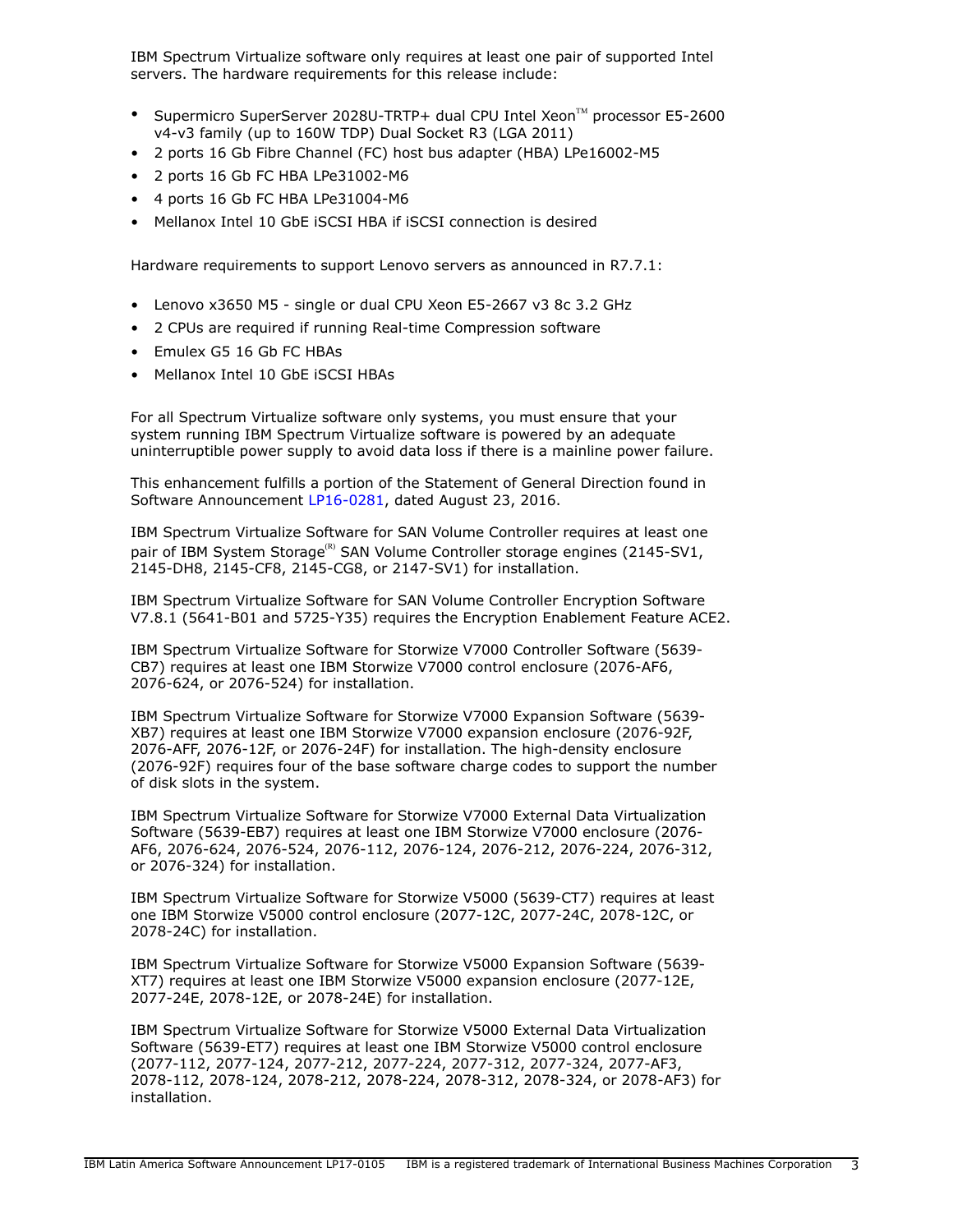IBM Spectrum Virtualize software only requires at least one pair of supported Intel servers. The hardware requirements for this release include:

- Supermicro SuperServer 2028U-TRTP+ dual CPU Intel Xeon™ processor E5-2600 v4-v3 family (up to 160W TDP) Dual Socket R3 (LGA 2011)
- 2 ports 16 Gb Fibre Channel (FC) host bus adapter (HBA) LPe16002-M5
- 2 ports 16 Gb FC HBA LPe31002-M6
- 4 ports 16 Gb FC HBA LPe31004-M6
- Mellanox Intel 10 GbE iSCSI HBA if iSCSI connection is desired

Hardware requirements to support Lenovo servers as announced in R7.7.1:

- Lenovo x3650 M5 single or dual CPU Xeon E5-2667 v3 8c 3.2 GHz
- 2 CPUs are required if running Real-time Compression software
- Emulex G5 16 Gb FC HBAs
- Mellanox Intel 10 GbE iSCSI HBAs

For all Spectrum Virtualize software only systems, you must ensure that your system running IBM Spectrum Virtualize software is powered by an adequate uninterruptible power supply to avoid data loss if there is a mainline power failure.

This enhancement fulfills a portion of the Statement of General Direction found in Software Announcement [LP16-0281](http://www.ibm.com/common/ssi/cgi-bin/ssialias?infotype=an&subtype=ca&appname=gpateam&supplier=899&letternum=ENUSLP16-0281), dated August 23, 2016.

IBM Spectrum Virtualize Software for SAN Volume Controller requires at least one pair of IBM System Storage<sup>(R)</sup> SAN Volume Controller storage engines (2145-SV1, 2145-DH8, 2145-CF8, 2145-CG8, or 2147-SV1) for installation.

IBM Spectrum Virtualize Software for SAN Volume Controller Encryption Software V7.8.1 (5641-B01 and 5725-Y35) requires the Encryption Enablement Feature ACE2.

IBM Spectrum Virtualize Software for Storwize V7000 Controller Software (5639- CB7) requires at least one IBM Storwize V7000 control enclosure (2076-AF6, 2076-624, or 2076-524) for installation.

IBM Spectrum Virtualize Software for Storwize V7000 Expansion Software (5639- XB7) requires at least one IBM Storwize V7000 expansion enclosure (2076-92F, 2076-AFF, 2076-12F, or 2076-24F) for installation. The high-density enclosure (2076-92F) requires four of the base software charge codes to support the number of disk slots in the system.

IBM Spectrum Virtualize Software for Storwize V7000 External Data Virtualization Software (5639-EB7) requires at least one IBM Storwize V7000 enclosure (2076- AF6, 2076-624, 2076-524, 2076-112, 2076-124, 2076-212, 2076-224, 2076-312, or 2076-324) for installation.

IBM Spectrum Virtualize Software for Storwize V5000 (5639-CT7) requires at least one IBM Storwize V5000 control enclosure (2077-12C, 2077-24C, 2078-12C, or 2078-24C) for installation.

IBM Spectrum Virtualize Software for Storwize V5000 Expansion Software (5639- XT7) requires at least one IBM Storwize V5000 expansion enclosure (2077-12E, 2077-24E, 2078-12E, or 2078-24E) for installation.

IBM Spectrum Virtualize Software for Storwize V5000 External Data Virtualization Software (5639-ET7) requires at least one IBM Storwize V5000 control enclosure (2077-112, 2077-124, 2077-212, 2077-224, 2077-312, 2077-324, 2077-AF3, 2078-112, 2078-124, 2078-212, 2078-224, 2078-312, 2078-324, or 2078-AF3) for installation.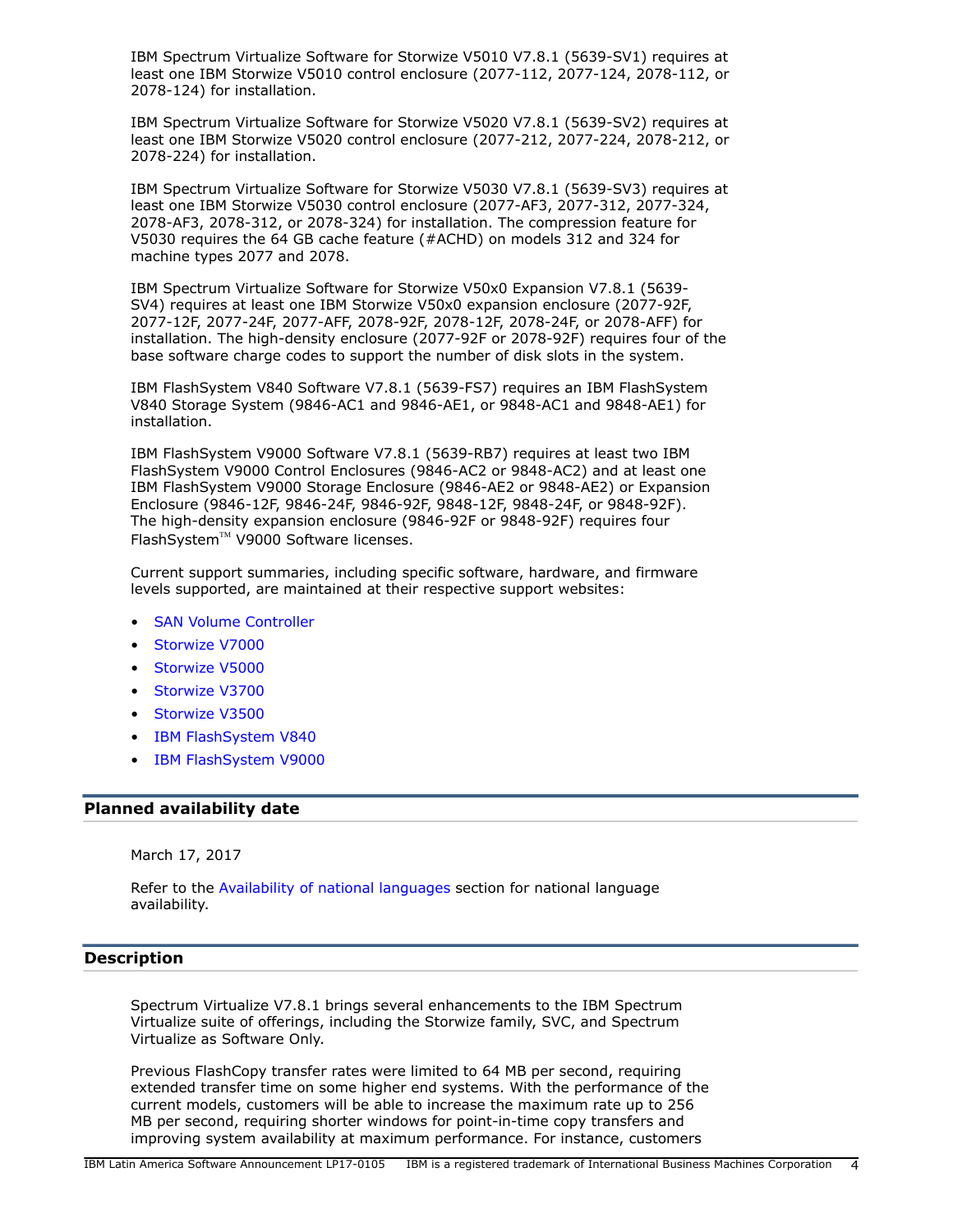IBM Spectrum Virtualize Software for Storwize V5010 V7.8.1 (5639-SV1) requires at least one IBM Storwize V5010 control enclosure (2077-112, 2077-124, 2078-112, or 2078-124) for installation.

IBM Spectrum Virtualize Software for Storwize V5020 V7.8.1 (5639-SV2) requires at least one IBM Storwize V5020 control enclosure (2077-212, 2077-224, 2078-212, or 2078-224) for installation.

IBM Spectrum Virtualize Software for Storwize V5030 V7.8.1 (5639-SV3) requires at least one IBM Storwize V5030 control enclosure (2077-AF3, 2077-312, 2077-324, 2078-AF3, 2078-312, or 2078-324) for installation. The compression feature for V5030 requires the 64 GB cache feature (#ACHD) on models 312 and 324 for machine types 2077 and 2078.

IBM Spectrum Virtualize Software for Storwize V50x0 Expansion V7.8.1 (5639- SV4) requires at least one IBM Storwize V50x0 expansion enclosure (2077-92F, 2077-12F, 2077-24F, 2077-AFF, 2078-92F, 2078-12F, 2078-24F, or 2078-AFF) for installation. The high-density enclosure (2077-92F or 2078-92F) requires four of the base software charge codes to support the number of disk slots in the system.

IBM FlashSystem V840 Software V7.8.1 (5639-FS7) requires an IBM FlashSystem V840 Storage System (9846-AC1 and 9846-AE1, or 9848-AC1 and 9848-AE1) for installation.

IBM FlashSystem V9000 Software V7.8.1 (5639-RB7) requires at least two IBM FlashSystem V9000 Control Enclosures (9846-AC2 or 9848-AC2) and at least one IBM FlashSystem V9000 Storage Enclosure (9846-AE2 or 9848-AE2) or Expansion Enclosure (9846-12F, 9846-24F, 9846-92F, 9848-12F, 9848-24F, or 9848-92F). The high-density expansion enclosure (9846-92F or 9848-92F) requires four FlashSystem™ V9000 Software licenses.

Current support summaries, including specific software, hardware, and firmware levels supported, are maintained at their respective support websites:

- **[SAN Volume Controller](http://www.ibm.com/storage/support/2145)**
- [Storwize V7000](http://www-03.ibm.com/systems/storage/storwize/#Family-of-software)
- [Storwize V5000](http://www-03.ibm.com/systems/storage/storwize/#Family-of-software)
- [Storwize V3700](http://www-03.ibm.com/systems/storage/storwize/#Family-of-software)
- [Storwize V3500](http://www-03.ibm.com/systems/storage/storwize/#Family-of-software)
- [IBM FlashSystem V840](https://www-947.ibm.com/support/entry/portal/product/system_storage/flash_storage/flash_high_availability_systems/ibm_flashsystem_v840?productContext=863560521)
- [IBM FlashSystem V9000](https://www-947.ibm.com/support/entry/portal/product/system_storage/flash_storage/flash_high_availability_systems/ibm_flashsystem_v9000?productContext=-1330121379)

#### <span id="page-3-0"></span>**Planned availability date**

March 17, 2017

Refer to the [Availability of national languages](#page-5-1) section for national language availability.

## <span id="page-3-1"></span>**Description**

Spectrum Virtualize V7.8.1 brings several enhancements to the IBM Spectrum Virtualize suite of offerings, including the Storwize family, SVC, and Spectrum Virtualize as Software Only.

Previous FlashCopy transfer rates were limited to 64 MB per second, requiring extended transfer time on some higher end systems. With the performance of the current models, customers will be able to increase the maximum rate up to 256 MB per second, requiring shorter windows for point-in-time copy transfers and improving system availability at maximum performance. For instance, customers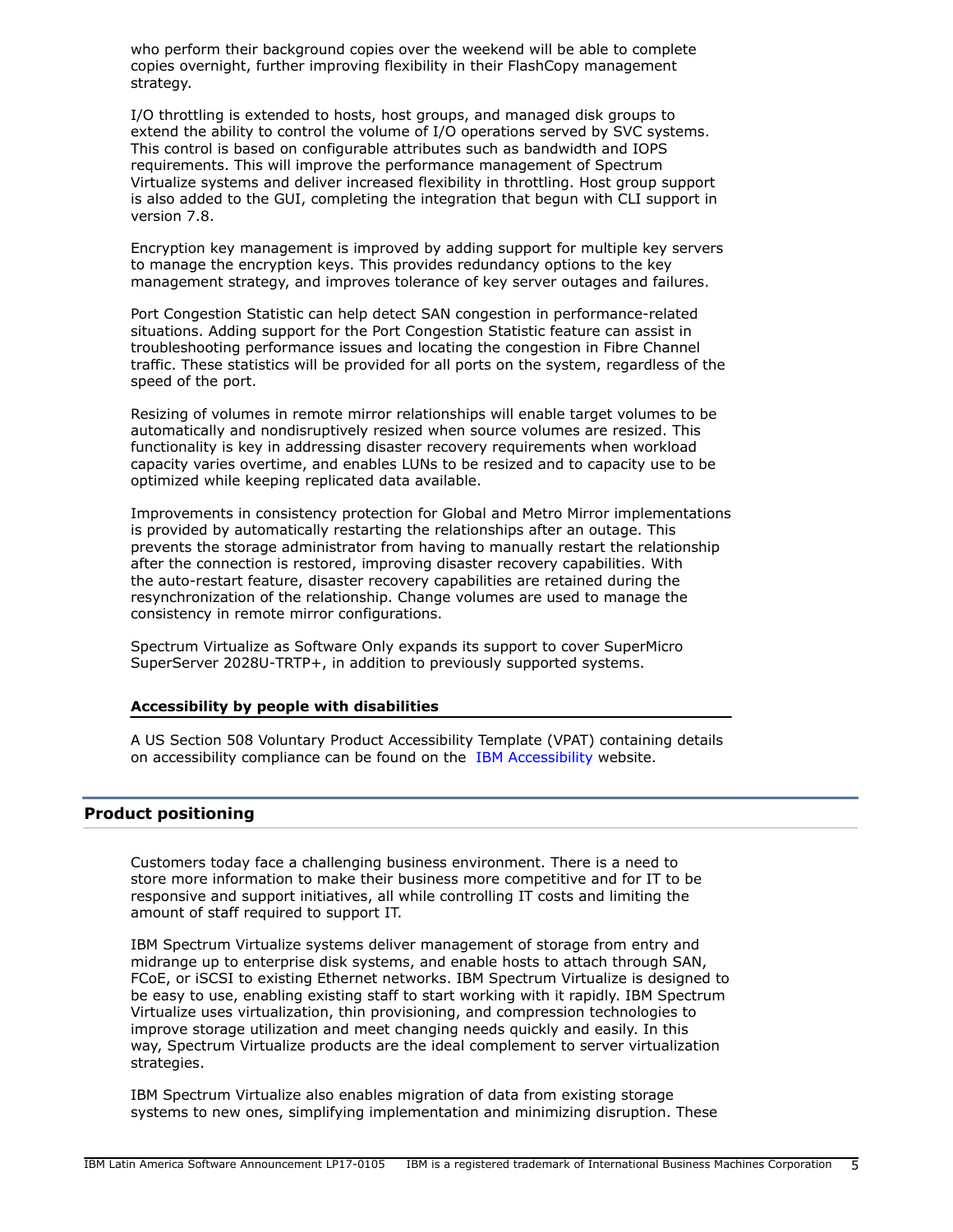who perform their background copies over the weekend will be able to complete copies overnight, further improving flexibility in their FlashCopy management strategy.

I/O throttling is extended to hosts, host groups, and managed disk groups to extend the ability to control the volume of I/O operations served by SVC systems. This control is based on configurable attributes such as bandwidth and IOPS requirements. This will improve the performance management of Spectrum Virtualize systems and deliver increased flexibility in throttling. Host group support is also added to the GUI, completing the integration that begun with CLI support in version 7.8.

Encryption key management is improved by adding support for multiple key servers to manage the encryption keys. This provides redundancy options to the key management strategy, and improves tolerance of key server outages and failures.

Port Congestion Statistic can help detect SAN congestion in performance-related situations. Adding support for the Port Congestion Statistic feature can assist in troubleshooting performance issues and locating the congestion in Fibre Channel traffic. These statistics will be provided for all ports on the system, regardless of the speed of the port.

Resizing of volumes in remote mirror relationships will enable target volumes to be automatically and nondisruptively resized when source volumes are resized. This functionality is key in addressing disaster recovery requirements when workload capacity varies overtime, and enables LUNs to be resized and to capacity use to be optimized while keeping replicated data available.

Improvements in consistency protection for Global and Metro Mirror implementations is provided by automatically restarting the relationships after an outage. This prevents the storage administrator from having to manually restart the relationship after the connection is restored, improving disaster recovery capabilities. With the auto-restart feature, disaster recovery capabilities are retained during the resynchronization of the relationship. Change volumes are used to manage the consistency in remote mirror configurations.

Spectrum Virtualize as Software Only expands its support to cover SuperMicro SuperServer 2028U-TRTP+, in addition to previously supported systems.

#### **Accessibility by people with disabilities**

A US Section 508 Voluntary Product Accessibility Template (VPAT) containing details on accessibility compliance can be found on the [IBM Accessibility](http://www.ibm.com/able/product_accessibility/index.html) website.

#### <span id="page-4-0"></span>**Product positioning**

Customers today face a challenging business environment. There is a need to store more information to make their business more competitive and for IT to be responsive and support initiatives, all while controlling IT costs and limiting the amount of staff required to support IT.

IBM Spectrum Virtualize systems deliver management of storage from entry and midrange up to enterprise disk systems, and enable hosts to attach through SAN, FCoE, or iSCSI to existing Ethernet networks. IBM Spectrum Virtualize is designed to be easy to use, enabling existing staff to start working with it rapidly. IBM Spectrum Virtualize uses virtualization, thin provisioning, and compression technologies to improve storage utilization and meet changing needs quickly and easily. In this way, Spectrum Virtualize products are the ideal complement to server virtualization strategies.

IBM Spectrum Virtualize also enables migration of data from existing storage systems to new ones, simplifying implementation and minimizing disruption. These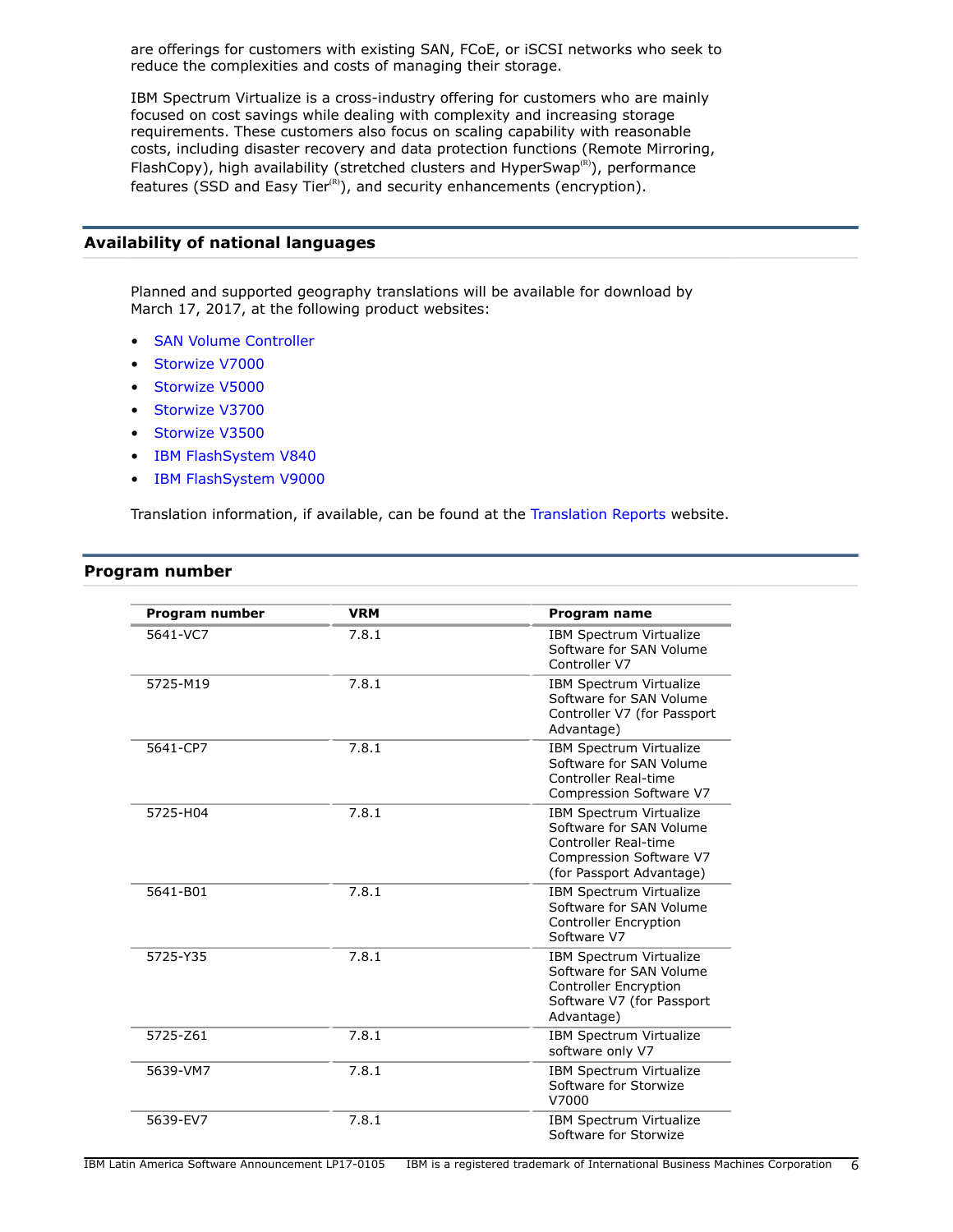are offerings for customers with existing SAN, FCoE, or iSCSI networks who seek to reduce the complexities and costs of managing their storage.

IBM Spectrum Virtualize is a cross-industry offering for customers who are mainly focused on cost savings while dealing with complexity and increasing storage requirements. These customers also focus on scaling capability with reasonable costs, including disaster recovery and data protection functions (Remote Mirroring, FlashCopy), high availability (stretched clusters and HyperSwap<sup>®</sup>), performance features (SSD and Easy Tier ${}^{\text{\tiny(R)}}$ ), and security enhancements (encryption).

## <span id="page-5-1"></span>**Availability of national languages**

Planned and supported geography translations will be available for download by March 17, 2017, at the following product websites:

- [SAN Volume Controller](http://www.ibm.com/storage/support/2145)
- [Storwize V7000](http://www-03.ibm.com/systems/storage/storwize/#Family-of-software)
- [Storwize V5000](http://www-03.ibm.com/systems/storage/storwize/#Family-of-software)
- [Storwize V3700](http://www-03.ibm.com/systems/storage/storwize/#Family-of-software)
- [Storwize V3500](http://www-03.ibm.com/systems/storage/storwize/#Family-of-software)
- [IBM FlashSystem V840](https://www-947.ibm.com/support/entry/portal/product/system_storage/flash_storage/flash_high_availability_systems/ibm_flashsystem_v840?productContext=863560521)
- [IBM FlashSystem V9000](https://www-947.ibm.com/support/entry/portal/product/system_storage/flash_storage/flash_high_availability_systems/ibm_flashsystem_v9000?productContext=-1330121379)

Translation information, if available, can be found at the [Translation Reports](http://www.ibm.com/software/reports/compatibility/clarity/languageCategory.html) website.

## <span id="page-5-0"></span>**Program number**

| Program number | <b>VRM</b> | <b>Program name</b>                                                                                                                      |
|----------------|------------|------------------------------------------------------------------------------------------------------------------------------------------|
| 5641-VC7       | 7.8.1      | IBM Spectrum Virtualize<br>Software for SAN Volume<br>Controller V7                                                                      |
| 5725-M19       | 7.8.1      | IBM Spectrum Virtualize<br>Software for SAN Volume<br>Controller V7 (for Passport<br>Advantage)                                          |
| 5641-CP7       | 7.8.1      | IBM Spectrum Virtualize<br>Software for SAN Volume<br>Controller Real-time<br>Compression Software V7                                    |
| 5725-H04       | 7.8.1      | <b>IBM Spectrum Virtualize</b><br>Software for SAN Volume<br>Controller Real-time<br>Compression Software V7<br>(for Passport Advantage) |
| 5641-B01       | 7.8.1      | IBM Spectrum Virtualize<br>Software for SAN Volume<br><b>Controller Encryption</b><br>Software V7                                        |
| 5725-Y35       | 7.8.1      | IBM Spectrum Virtualize<br>Software for SAN Volume<br><b>Controller Encryption</b><br>Software V7 (for Passport<br>Advantage)            |
| 5725-Z61       | 7.8.1      | IBM Spectrum Virtualize<br>software only V7                                                                                              |
| 5639-VM7       | 7.8.1      | IBM Spectrum Virtualize<br>Software for Storwize<br>V7000                                                                                |
| 5639-EV7       | 7.8.1      | IBM Spectrum Virtualize<br>Software for Storwize                                                                                         |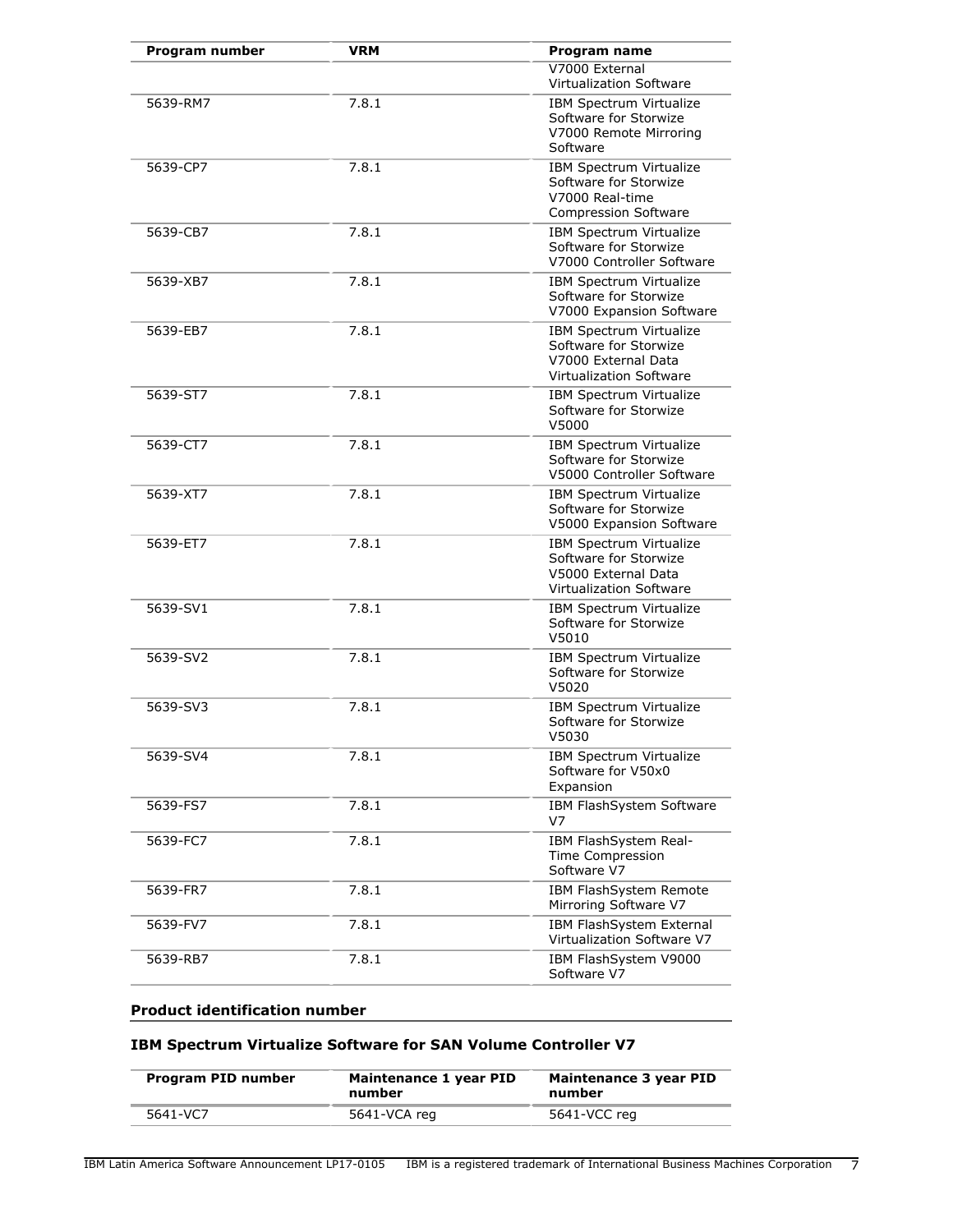| Program number | <b>VRM</b> | Program name                                                                                              |
|----------------|------------|-----------------------------------------------------------------------------------------------------------|
|                |            | V7000 External<br>Virtualization Software                                                                 |
| 5639-RM7       | 7.8.1      | IBM Spectrum Virtualize<br>Software for Storwize<br>V7000 Remote Mirroring<br>Software                    |
| 5639-CP7       | 7.8.1      | IBM Spectrum Virtualize<br>Software for Storwize<br>V7000 Real-time<br><b>Compression Software</b>        |
| 5639-CB7       | 7.8.1      | IBM Spectrum Virtualize<br>Software for Storwize<br>V7000 Controller Software                             |
| 5639-XB7       | 7.8.1      | IBM Spectrum Virtualize<br>Software for Storwize<br>V7000 Expansion Software                              |
| 5639-EB7       | 7.8.1      | IBM Spectrum Virtualize<br>Software for Storwize<br>V7000 External Data<br><b>Virtualization Software</b> |
| 5639-ST7       | 7.8.1      | IBM Spectrum Virtualize<br>Software for Storwize<br>V5000                                                 |
| 5639-CT7       | 7.8.1      | IBM Spectrum Virtualize<br>Software for Storwize<br>V5000 Controller Software                             |
| 5639-XT7       | 7.8.1      | <b>IBM Spectrum Virtualize</b><br>Software for Storwize<br>V5000 Expansion Software                       |
| 5639-ET7       | 7.8.1      | IBM Spectrum Virtualize<br>Software for Storwize<br>V5000 External Data<br>Virtualization Software        |
| 5639-SV1       | 7.8.1      | IBM Spectrum Virtualize<br>Software for Storwize<br>V5010                                                 |
| 5639-SV2       | 7.8.1      | IBM Spectrum Virtualize<br>Software for Storwize<br>V5020                                                 |
| 5639-SV3       | 7.8.1      | IBM Spectrum Virtualize<br>Software for Storwize<br>V5030                                                 |
| 5639-SV4       | 7.8.1      | IBM Spectrum Virtualize<br>Software for V50x0<br>Expansion                                                |
| 5639-FS7       | 7.8.1      | IBM FlashSystem Software<br>V7                                                                            |
| 5639-FC7       | 7.8.1      | IBM FlashSystem Real-<br><b>Time Compression</b><br>Software V7                                           |
| 5639-FR7       | 7.8.1      | IBM FlashSystem Remote<br>Mirroring Software V7                                                           |
| 5639-FV7       | 7.8.1      | IBM FlashSystem External<br>Virtualization Software V7                                                    |
| 5639-RB7       | 7.8.1      | IBM FlashSystem V9000<br>Software V7                                                                      |

## **Product identification number**

# **IBM Spectrum Virtualize Software for SAN Volume Controller V7**

| Program PID number | Maintenance 1 year PID<br>number | Maintenance 3 year PID<br>number |
|--------------------|----------------------------------|----------------------------------|
| 5641-VC7           | 5641-VCA reg                     | 5641-VCC reg                     |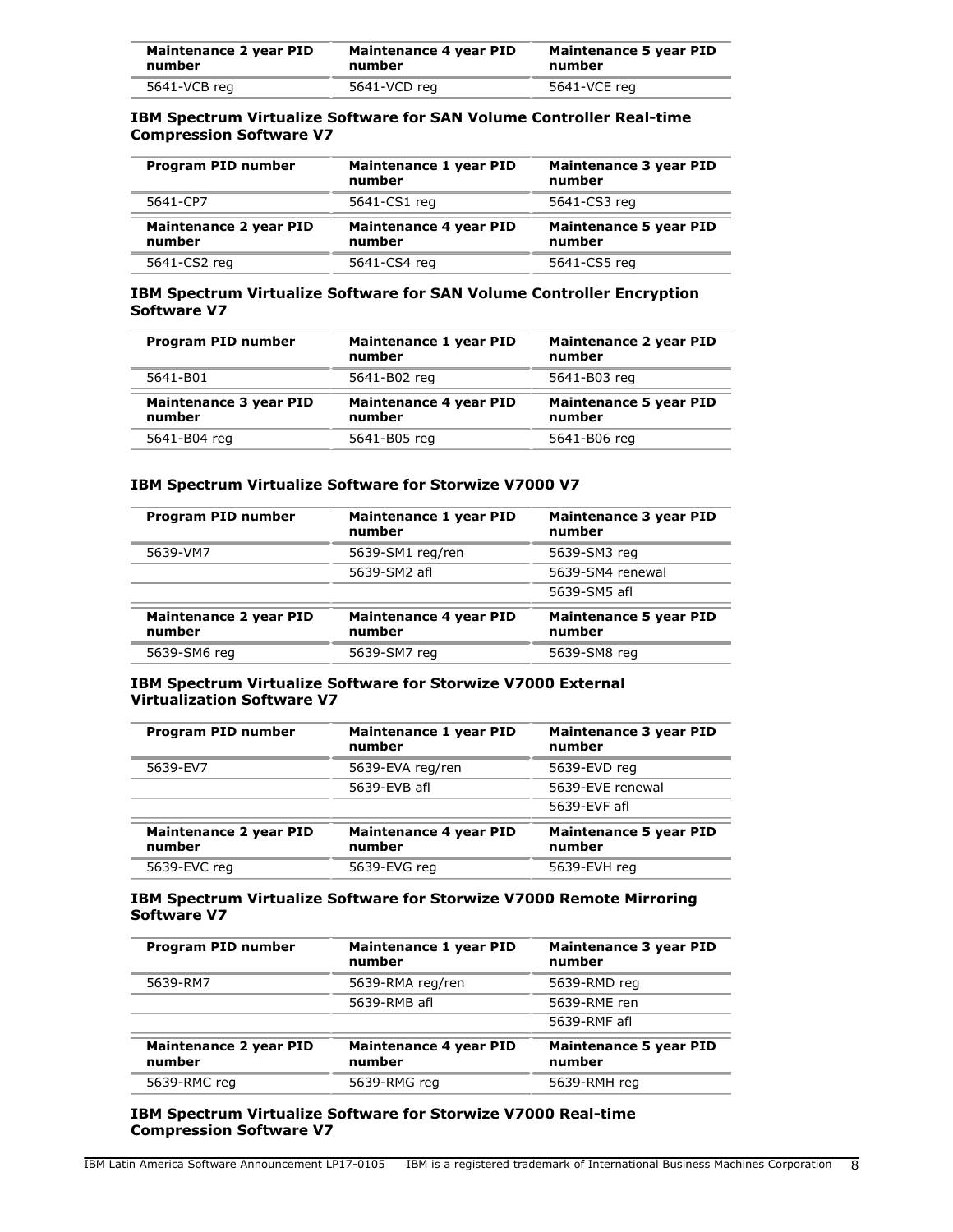| Maintenance 2 year PID | Maintenance 4 year PID | Maintenance 5 year PID |
|------------------------|------------------------|------------------------|
| number                 | number                 | number                 |
| 5641-VCB reg           | 5641-VCD reg           | 5641-VCE reg           |

## **IBM Spectrum Virtualize Software for SAN Volume Controller Real-time Compression Software V7**

| Program PID number               | Maintenance 1 year PID<br>number | Maintenance 3 year PID<br>number        |
|----------------------------------|----------------------------------|-----------------------------------------|
| 5641-CP7                         | 5641-CS1 reg                     | 5641-CS3 reg                            |
| Maintenance 2 year PID<br>number | Maintenance 4 year PID<br>number | <b>Maintenance 5 year PID</b><br>number |
| 5641-CS2 reg                     | 5641-CS4 reg                     | 5641-CS5 reg                            |

## **IBM Spectrum Virtualize Software for SAN Volume Controller Encryption Software V7**

| Program PID number                      | Maintenance 1 year PID<br>number | <b>Maintenance 2 year PID</b><br>number |
|-----------------------------------------|----------------------------------|-----------------------------------------|
| 5641-B01                                | 5641-B02 reg                     | 5641-B03 reg                            |
| <b>Maintenance 3 year PID</b><br>number | Maintenance 4 year PID<br>number | <b>Maintenance 5 year PID</b><br>number |
| 5641-B04 reg                            | 5641-B05 reg                     | 5641-B06 reg                            |

#### **IBM Spectrum Virtualize Software for Storwize V7000 V7**

| Program PID number                      | Maintenance 1 year PID<br>number | Maintenance 3 year PID<br>number        |
|-----------------------------------------|----------------------------------|-----------------------------------------|
| 5639-VM7                                | 5639-SM1 reg/ren                 | 5639-SM3 reg                            |
|                                         | 5639-SM2 afl                     | 5639-SM4 renewal                        |
|                                         |                                  | 5639-SM5 afl                            |
| <b>Maintenance 2 year PID</b><br>number | Maintenance 4 year PID<br>number | <b>Maintenance 5 year PID</b><br>number |
| 5639-SM6 reg                            | 5639-SM7 reg                     | 5639-SM8 reg                            |

#### **IBM Spectrum Virtualize Software for Storwize V7000 External Virtualization Software V7**

| Program PID number                      | Maintenance 1 year PID<br>number | Maintenance 3 year PID<br>number        |
|-----------------------------------------|----------------------------------|-----------------------------------------|
| 5639-EV7                                | 5639-EVA reg/ren                 | 5639-EVD reg                            |
|                                         | 5639-EVB afl                     | 5639-EVE renewal                        |
|                                         |                                  | 5639-EVF afl                            |
| <b>Maintenance 2 year PID</b><br>number | Maintenance 4 year PID<br>number | <b>Maintenance 5 year PID</b><br>number |
| 5639-EVC reg                            | 5639-EVG reg                     | 5639-EVH reg                            |

#### **IBM Spectrum Virtualize Software for Storwize V7000 Remote Mirroring Software V7**

| Program PID number               | Maintenance 1 year PID<br>number | Maintenance 3 year PID<br>number        |
|----------------------------------|----------------------------------|-----------------------------------------|
| 5639-RM7                         | 5639-RMA reg/ren                 | 5639-RMD reg                            |
|                                  | 5639-RMB afl                     | 5639-RME ren                            |
|                                  |                                  | 5639-RMF afl                            |
| Maintenance 2 year PID<br>number | Maintenance 4 year PID<br>number | <b>Maintenance 5 year PID</b><br>number |
| 5639-RMC reg                     | 5639-RMG reg                     | 5639-RMH reg                            |
|                                  |                                  |                                         |

## **IBM Spectrum Virtualize Software for Storwize V7000 Real-time Compression Software V7**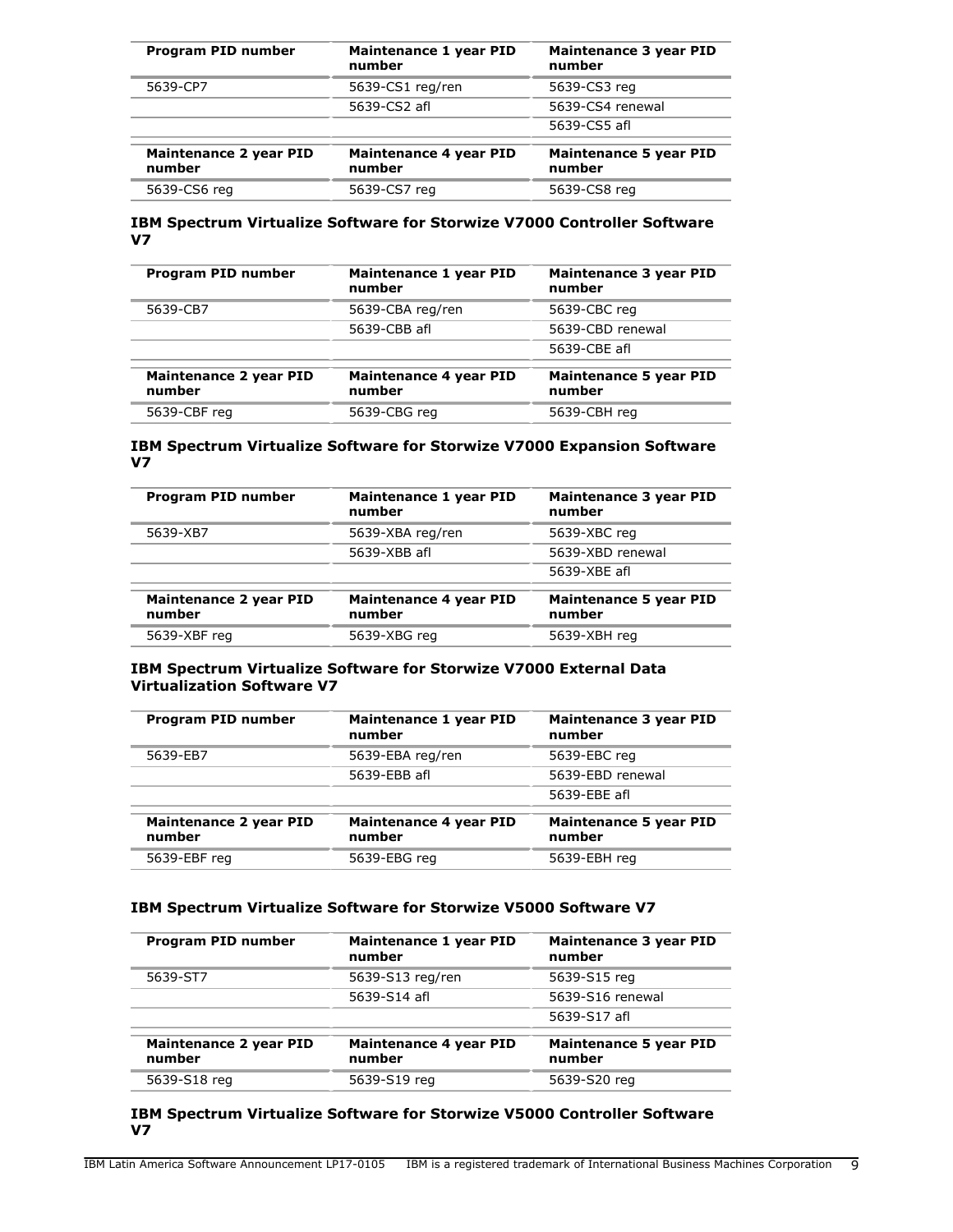| Program PID number                      | Maintenance 1 year PID<br>number        | <b>Maintenance 3 year PID</b><br>number |
|-----------------------------------------|-----------------------------------------|-----------------------------------------|
| 5639-CP7                                | 5639-CS1 reg/ren                        | 5639-CS3 reg                            |
|                                         | 5639-CS2 afl                            | 5639-CS4 renewal                        |
|                                         |                                         | 5639-CS5 afl                            |
| <b>Maintenance 2 year PID</b><br>number | <b>Maintenance 4 year PID</b><br>number | <b>Maintenance 5 year PID</b><br>number |
| 5639-CS6 reg                            | 5639-CS7 reg                            | 5639-CS8 reg                            |

## **IBM Spectrum Virtualize Software for Storwize V7000 Controller Software V7**

| Program PID number               | Maintenance 1 year PID<br>number | Maintenance 3 year PID<br>number        |
|----------------------------------|----------------------------------|-----------------------------------------|
| 5639-CB7                         | 5639-CBA reg/ren                 | 5639-CBC reg                            |
|                                  | 5639-CBB afl                     | 5639-CBD renewal                        |
|                                  |                                  | 5639-CBE afl                            |
| Maintenance 2 year PID<br>number | Maintenance 4 year PID<br>number | <b>Maintenance 5 year PID</b><br>number |
| 5639-CBF reg                     | 5639-CBG reg                     | 5639-CBH reg                            |

## **IBM Spectrum Virtualize Software for Storwize V7000 Expansion Software V7**

| Program PID number               | Maintenance 1 year PID<br>number | Maintenance 3 year PID<br>number        |
|----------------------------------|----------------------------------|-----------------------------------------|
| 5639-XB7                         | 5639-XBA reg/ren                 | 5639-XBC reg                            |
|                                  | 5639-XBB afl                     | 5639-XBD renewal                        |
|                                  |                                  | 5639-XBE afl                            |
| Maintenance 2 year PID<br>number | Maintenance 4 year PID<br>number | <b>Maintenance 5 year PID</b><br>number |
| 5639-XBF reg                     | 5639-XBG reg                     | 5639-XBH reg                            |

## **IBM Spectrum Virtualize Software for Storwize V7000 External Data Virtualization Software V7**

| Maintenance 1 year PID<br>number | Maintenance 3 year PID<br>number        |
|----------------------------------|-----------------------------------------|
| 5639-EBA reg/ren                 | 5639-EBC reg                            |
| 5639-EBB afl                     | 5639-EBD renewal                        |
|                                  | 5639-EBE afl                            |
| Maintenance 4 year PID<br>number | <b>Maintenance 5 year PID</b><br>number |
| 5639-EBG reg                     | 5639-EBH reg                            |
|                                  |                                         |

## **IBM Spectrum Virtualize Software for Storwize V5000 Software V7**

| Program PID number               | Maintenance 1 year PID<br>number | Maintenance 3 year PID<br>number        |
|----------------------------------|----------------------------------|-----------------------------------------|
| 5639-ST7                         | 5639-S13 reg/ren                 | 5639-S15 reg                            |
|                                  | 5639-S14 afl                     | 5639-S16 renewal                        |
|                                  |                                  | 5639-S17 afl                            |
| Maintenance 2 year PID<br>number | Maintenance 4 year PID<br>number | <b>Maintenance 5 year PID</b><br>number |
| 5639-S18 reg                     | 5639-S19 reg                     | 5639-S20 reg                            |

## **IBM Spectrum Virtualize Software for Storwize V5000 Controller Software V7**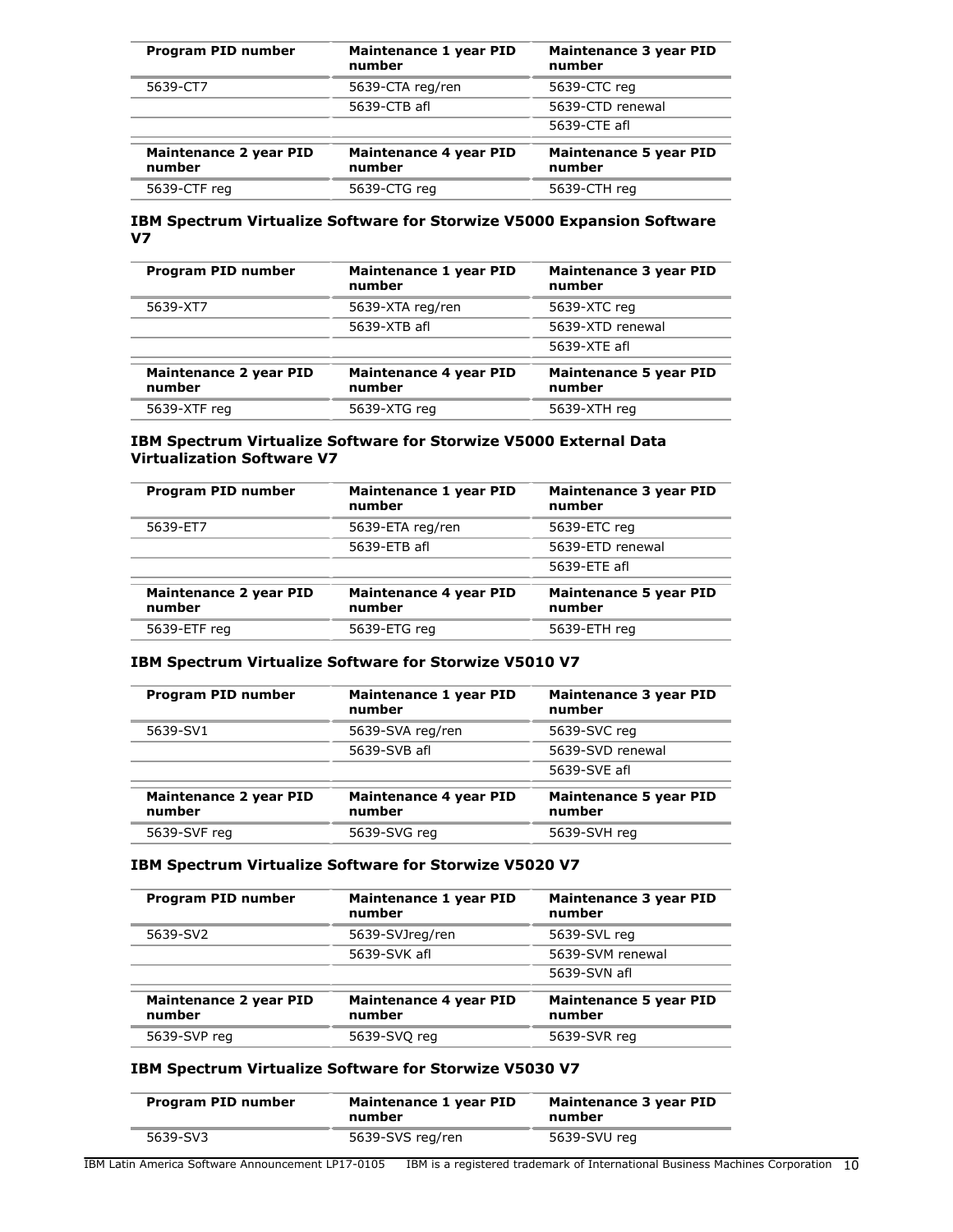| Program PID number                      | Maintenance 1 year PID<br>number        | <b>Maintenance 3 year PID</b><br>number |
|-----------------------------------------|-----------------------------------------|-----------------------------------------|
| 5639-CT7                                | 5639-CTA reg/ren                        | 5639-CTC reg                            |
|                                         | 5639-CTB afl                            | 5639-CTD renewal                        |
|                                         |                                         | 5639-CTE afl                            |
| <b>Maintenance 2 year PID</b><br>number | <b>Maintenance 4 year PID</b><br>number | <b>Maintenance 5 year PID</b><br>number |
| 5639-CTF reg                            | 5639-CTG reg                            | 5639-CTH reg                            |

#### **IBM Spectrum Virtualize Software for Storwize V5000 Expansion Software V7**

| Program PID number                      | Maintenance 1 year PID<br>number | Maintenance 3 year PID<br>number        |
|-----------------------------------------|----------------------------------|-----------------------------------------|
| 5639-XT7                                | 5639-XTA reg/ren                 | 5639-XTC reg                            |
|                                         | 5639-XTB afl                     | 5639-XTD renewal                        |
|                                         |                                  | 5639-XTE afl                            |
| <b>Maintenance 2 year PID</b><br>number | Maintenance 4 year PID<br>number | <b>Maintenance 5 year PID</b><br>number |
| 5639-XTF reg                            | 5639-XTG reg                     | 5639-XTH reg                            |

## **IBM Spectrum Virtualize Software for Storwize V5000 External Data Virtualization Software V7**

| Program PID number                      | Maintenance 1 year PID<br>number | Maintenance 3 year PID<br>number        |
|-----------------------------------------|----------------------------------|-----------------------------------------|
| 5639-ET7                                | 5639-ETA reg/ren                 | 5639-ETC reg                            |
|                                         | 5639-ETB afl                     | 5639-ETD renewal                        |
|                                         |                                  | 5639-ETE afl                            |
| <b>Maintenance 2 year PID</b><br>number | Maintenance 4 year PID<br>number | <b>Maintenance 5 year PID</b><br>number |
| 5639-ETF reg                            | 5639-ETG reg                     | 5639-ETH reg                            |

## **IBM Spectrum Virtualize Software for Storwize V5010 V7**

| Program PID number                      | Maintenance 1 year PID<br>number | Maintenance 3 year PID<br>number        |
|-----------------------------------------|----------------------------------|-----------------------------------------|
| 5639-SV1                                | 5639-SVA reg/ren                 | 5639-SVC reg                            |
|                                         | 5639-SVB afl                     | 5639-SVD renewal                        |
|                                         |                                  | 5639-SVE afl                            |
| <b>Maintenance 2 year PID</b><br>number | Maintenance 4 year PID<br>number | <b>Maintenance 5 year PID</b><br>number |
| 5639-SVF reg                            | 5639-SVG reg                     | 5639-SVH reg                            |

## **IBM Spectrum Virtualize Software for Storwize V5020 V7**

| Program PID number                      | Maintenance 1 year PID<br>number | Maintenance 3 year PID<br>number        |
|-----------------------------------------|----------------------------------|-----------------------------------------|
| 5639-SV2                                | 5639-SVJreg/ren                  | 5639-SVL reg                            |
|                                         | 5639-SVK afl                     | 5639-SVM renewal                        |
|                                         |                                  | 5639-SVN afl                            |
| <b>Maintenance 2 year PID</b><br>number | Maintenance 4 year PID<br>number | <b>Maintenance 5 year PID</b><br>number |
| 5639-SVP reg                            | 5639-SVQ reg                     | 5639-SVR reg                            |

# **IBM Spectrum Virtualize Software for Storwize V5030 V7**

| Program PID number | Maintenance 1 year PID<br>number | Maintenance 3 year PID<br>number |
|--------------------|----------------------------------|----------------------------------|
| 5639-SV3           | 5639-SVS reg/ren                 | 5639-SVU reg                     |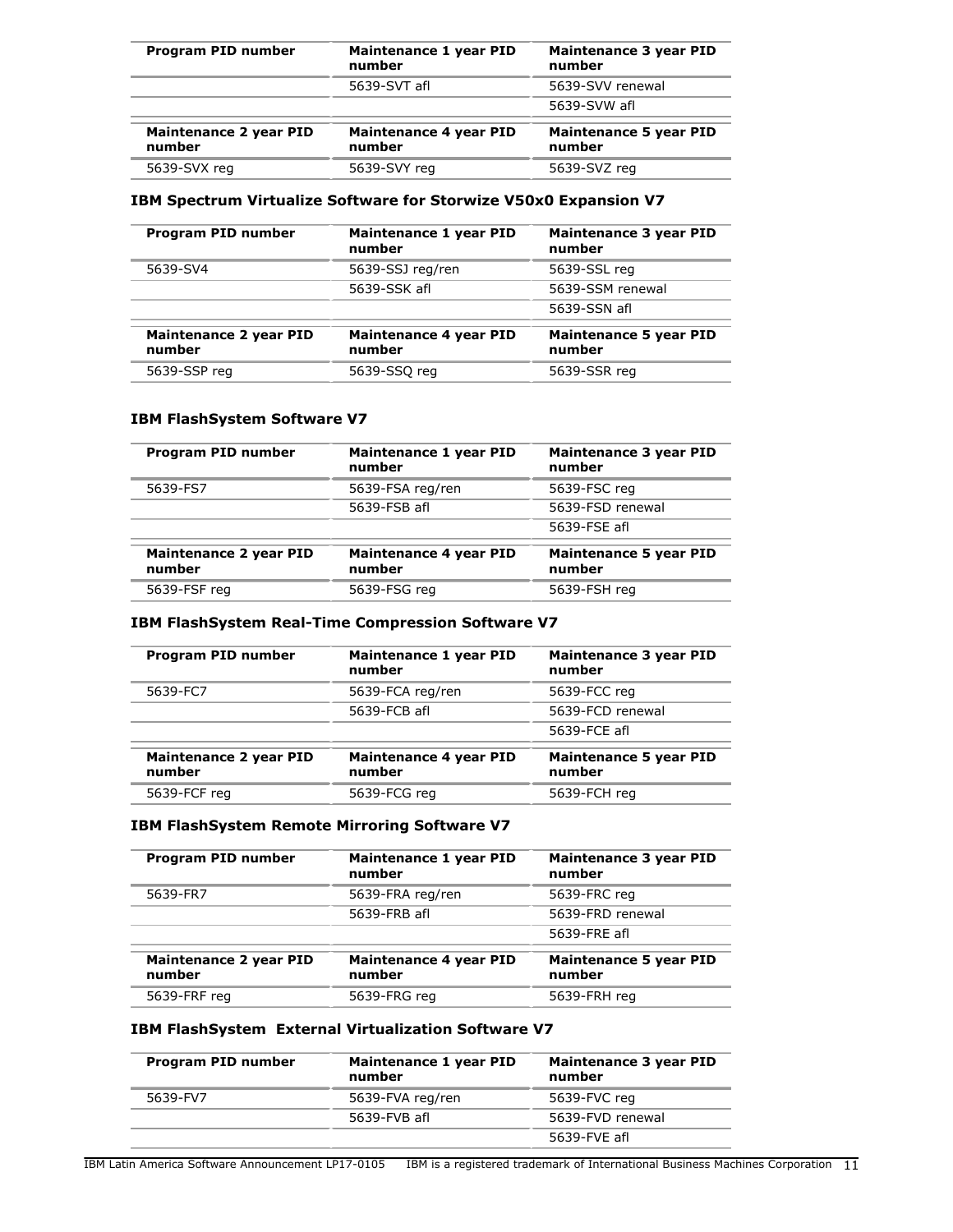| Program PID number               | Maintenance 1 year PID<br>number | Maintenance 3 year PID<br>number        |
|----------------------------------|----------------------------------|-----------------------------------------|
|                                  | 5639-SVT afl                     | 5639-SVV renewal                        |
|                                  |                                  | 5639-SVW afl                            |
| Maintenance 2 year PID<br>number | Maintenance 4 year PID<br>number | <b>Maintenance 5 year PID</b><br>number |
| 5639-SVX reg                     | 5639-SVY reg                     | 5639-SVZ reg                            |

## **IBM Spectrum Virtualize Software for Storwize V50x0 Expansion V7**

| <b>Program PID number</b>               | Maintenance 1 year PID<br>number | Maintenance 3 year PID<br>number        |
|-----------------------------------------|----------------------------------|-----------------------------------------|
| 5639-SV4                                | 5639-SSJ reg/ren                 | 5639-SSL reg                            |
|                                         | 5639-SSK afl                     | 5639-SSM renewal                        |
|                                         |                                  | 5639-SSN afl                            |
| <b>Maintenance 2 year PID</b><br>number | Maintenance 4 year PID<br>number | <b>Maintenance 5 year PID</b><br>number |
| 5639-SSP reg                            | 5639-SSQ reg                     | 5639-SSR reg                            |

## **IBM FlashSystem Software V7**

| Program PID number                      | Maintenance 1 year PID<br>number | <b>Maintenance 3 year PID</b><br>number |
|-----------------------------------------|----------------------------------|-----------------------------------------|
| 5639-FS7                                | 5639-FSA reg/ren                 | 5639-FSC reg                            |
|                                         | 5639-FSB afl                     | 5639-FSD renewal                        |
|                                         |                                  | 5639-FSE afl                            |
| <b>Maintenance 2 year PID</b><br>number | Maintenance 4 year PID<br>number | <b>Maintenance 5 year PID</b><br>number |
| 5639-FSF reg                            | 5639-FSG reg                     | 5639-FSH reg                            |

## **IBM FlashSystem Real-Time Compression Software V7**

| Program PID number                      | Maintenance 1 year PID<br>number | Maintenance 3 year PID<br>number        |
|-----------------------------------------|----------------------------------|-----------------------------------------|
| 5639-FC7                                | 5639-FCA reg/ren                 | 5639-FCC reg                            |
|                                         | 5639-FCB afl                     | 5639-FCD renewal                        |
|                                         |                                  | 5639-FCE afl                            |
| <b>Maintenance 2 year PID</b><br>number | Maintenance 4 year PID<br>number | <b>Maintenance 5 year PID</b><br>number |
| 5639-FCF reg                            | 5639-FCG reg                     | 5639-FCH reg                            |

## **IBM FlashSystem Remote Mirroring Software V7**

| <b>Program PID number</b>               | Maintenance 1 year PID<br>number | <b>Maintenance 3 year PID</b><br>number |
|-----------------------------------------|----------------------------------|-----------------------------------------|
| 5639-FR7                                | 5639-FRA reg/ren                 | 5639-FRC reg                            |
|                                         | 5639-FRB afl                     | 5639-FRD renewal                        |
|                                         |                                  | 5639-FRE afl                            |
| <b>Maintenance 2 year PID</b><br>number | Maintenance 4 year PID<br>number | <b>Maintenance 5 year PID</b><br>number |
| 5639-FRF reg                            | 5639-FRG reg                     | 5639-FRH reg                            |

## **IBM FlashSystem External Virtualization Software V7**

| Program PID number | Maintenance 1 year PID<br>number | Maintenance 3 year PID<br>number |
|--------------------|----------------------------------|----------------------------------|
| 5639-FV7           | 5639-FVA reg/ren                 | 5639-FVC reg                     |
|                    | 5639-FVB afl                     | 5639-FVD renewal                 |
|                    |                                  | 5639-FVE afl                     |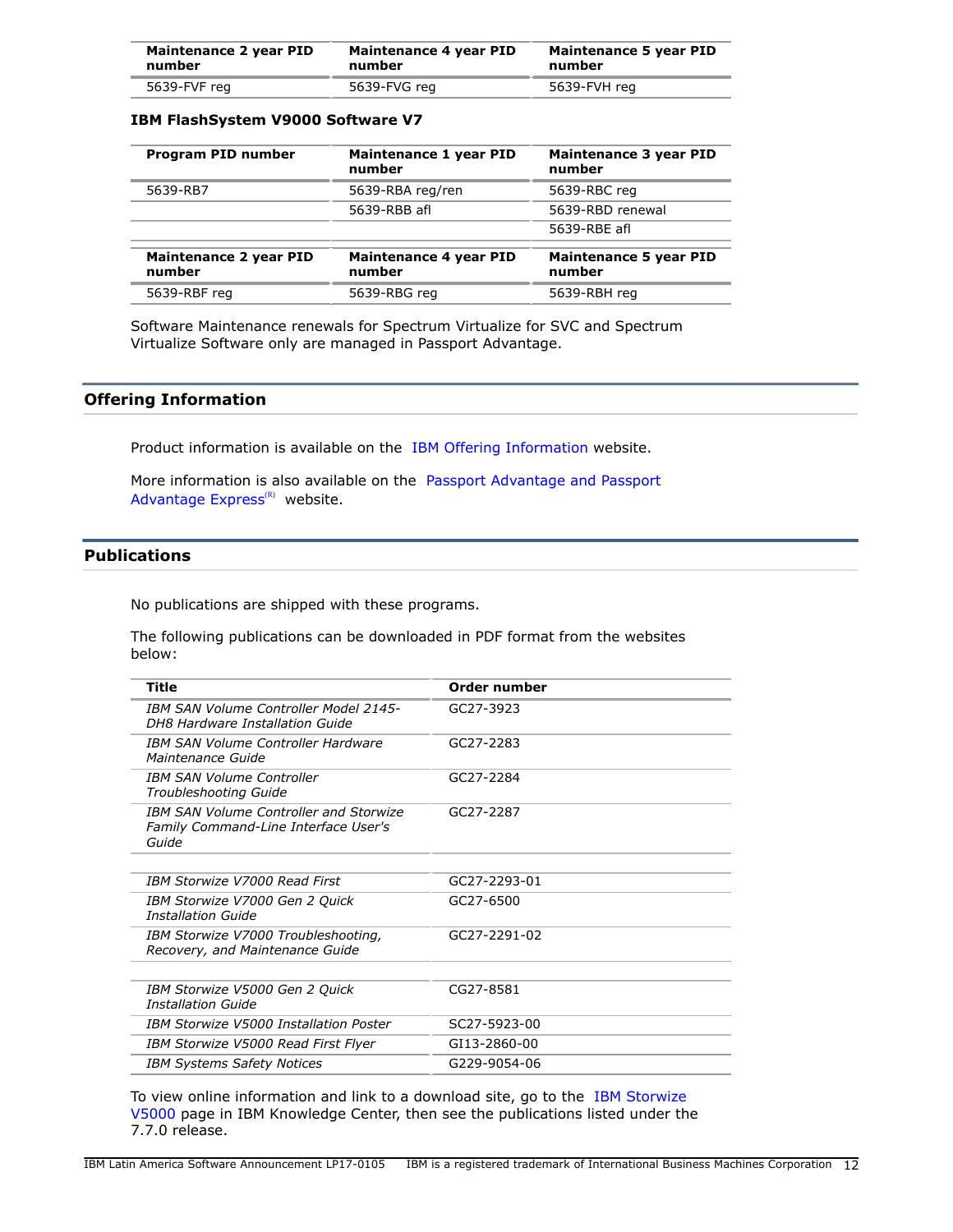| Maintenance 2 year PID | Maintenance 4 year PID | Maintenance 5 year PID |
|------------------------|------------------------|------------------------|
| number                 | number                 | number                 |
| 5639-FVF reg           | 5639-FVG reg           | 5639-FVH reg           |

## **IBM FlashSystem V9000 Software V7**

| Program PID number                      | Maintenance 1 year PID<br>number | Maintenance 3 year PID<br>number        |
|-----------------------------------------|----------------------------------|-----------------------------------------|
| 5639-RB7                                | 5639-RBA reg/ren                 | 5639-RBC reg                            |
|                                         | 5639-RBB afl                     | 5639-RBD renewal                        |
|                                         |                                  | 5639-RBE afl                            |
| <b>Maintenance 2 year PID</b><br>number | Maintenance 4 year PID<br>number | <b>Maintenance 5 year PID</b><br>number |
| 5639-RBF reg                            | 5639-RBG reg                     | 5639-RBH reg                            |

Software Maintenance renewals for Spectrum Virtualize for SVC and Spectrum Virtualize Software only are managed in Passport Advantage.

## **Offering Information**

Product information is available on the [IBM Offering Information](http://www.ibm.com/common/ssi) website.

More information is also available on the [Passport Advantage and Passport](http://www.ibm.com/software/passportadvantage) Advantage  $Express^{(R)}$  website.

## <span id="page-11-0"></span>**Publications**

No publications are shipped with these programs.

The following publications can be downloaded in PDF format from the websites below:

| Title                                                                                          | Order number |
|------------------------------------------------------------------------------------------------|--------------|
| <b>IBM SAN Volume Controller Model 2145-</b><br>DH8 Hardware Installation Guide                | GC27-3923    |
| <b>IBM SAN Volume Controller Hardware</b><br>Maintenance Guide                                 | GC27-2283    |
| <b>IBM SAN Volume Controller</b><br>Troubleshooting Guide                                      | GC27-2284    |
| <b>IBM SAN Volume Controller and Storwize</b><br>Family Command-Line Interface User's<br>Guide | GC27-2287    |
|                                                                                                |              |
| <b>IBM Storwize V7000 Read First</b>                                                           | GC27-2293-01 |
| IBM Storwize V7000 Gen 2 Quick<br>Installation Guide                                           | GC27-6500    |
| IBM Storwize V7000 Troubleshooting,<br>Recovery, and Maintenance Guide                         | GC27-2291-02 |
|                                                                                                |              |
| IBM Storwize V5000 Gen 2 Quick<br><b>Installation Guide</b>                                    | CG27-8581    |
| IBM Storwize V5000 Installation Poster                                                         | SC27-5923-00 |
| IBM Storwize V5000 Read First Flyer                                                            | GI13-2860-00 |
| <b>IBM Systems Safety Notices</b>                                                              | G229-9054-06 |

To view online information and link to a download site, go to the [IBM Storwize](http://www-01.ibm.com/support/knowledgecenter/STHGUJ/welcome) [V5000](http://www-01.ibm.com/support/knowledgecenter/STHGUJ/welcome) page in IBM Knowledge Center, then see the publications listed under the 7.7.0 release.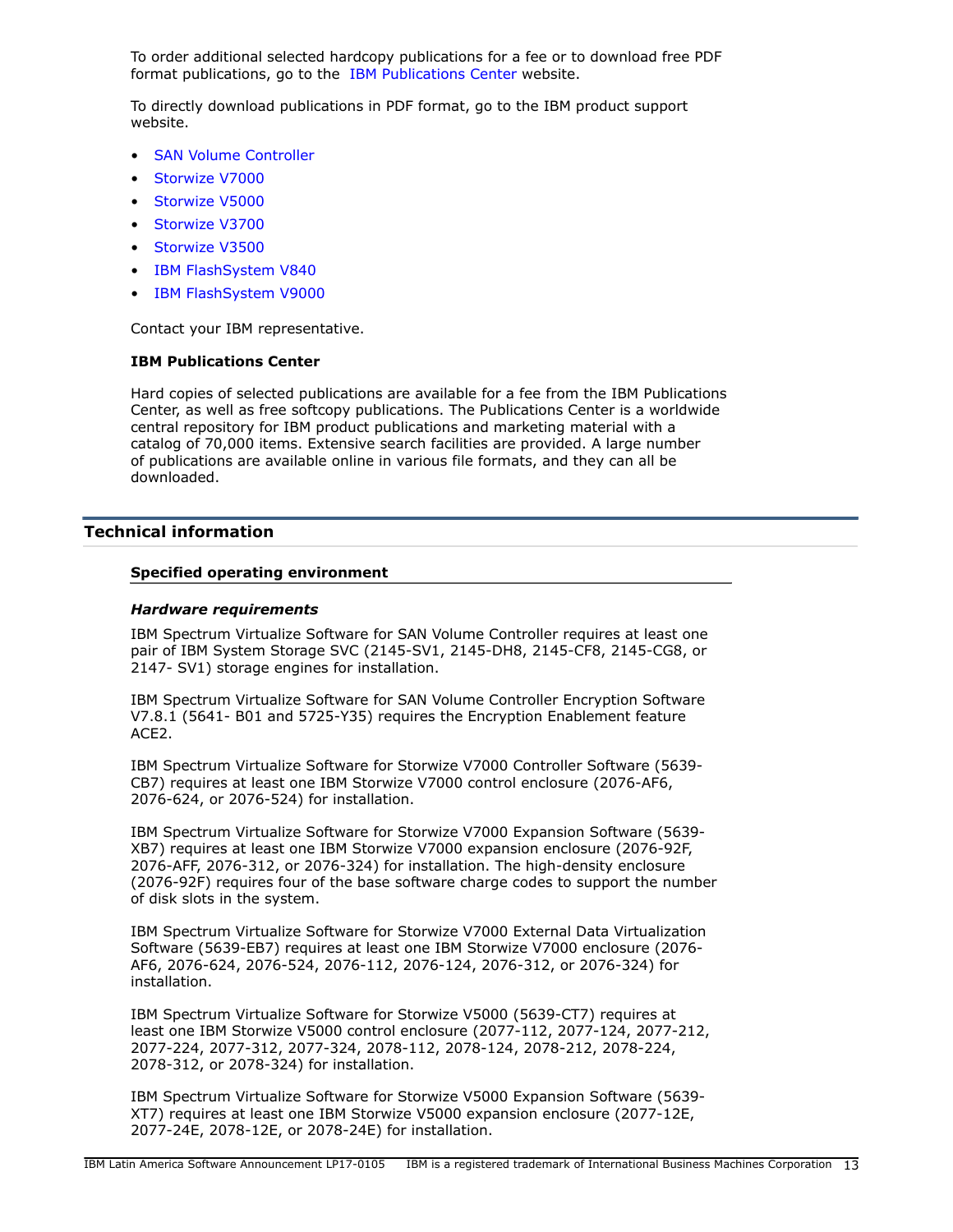To order additional selected hardcopy publications for a fee or to download free PDF format publications, go to the [IBM Publications Center](http://www.ibm.com/shop/publications/order) website.

To directly download publications in PDF format, go to the IBM product support website.

- [SAN Volume Controller](http://www.ibm.com/storage/support/2145)
- [Storwize V7000](http://www-03.ibm.com/systems/storage/storwize/#Family-of-software)
- [Storwize V5000](http://www-03.ibm.com/systems/storage/storwize/#Family-of-software)
- [Storwize V3700](http://www-03.ibm.com/systems/storage/storwize/#Family-of-software)
- [Storwize V3500](http://www-03.ibm.com/systems/storage/storwize/#Family-of-software)
- [IBM FlashSystem V840](https://www-947.ibm.com/support/entry/portal/product/system_storage/flash_storage/flash_high_availability_systems/ibm_flashsystem_v840?productContext=863560521)
- [IBM FlashSystem V9000](https://www-947.ibm.com/support/entry/portal/product/system_storage/flash_storage/flash_high_availability_systems/ibm_flashsystem_v9000?productContext=-1330121379)

Contact your IBM representative.

#### **IBM Publications Center**

Hard copies of selected publications are available for a fee from the IBM Publications Center, as well as free softcopy publications. The Publications Center is a worldwide central repository for IBM product publications and marketing material with a catalog of 70,000 items. Extensive search facilities are provided. A large number of publications are available online in various file formats, and they can all be downloaded.

## <span id="page-12-0"></span>**Technical information**

#### **Specified operating environment**

#### <span id="page-12-1"></span>*Hardware requirements*

IBM Spectrum Virtualize Software for SAN Volume Controller requires at least one pair of IBM System Storage SVC (2145-SV1, 2145-DH8, 2145-CF8, 2145-CG8, or 2147- SV1) storage engines for installation.

IBM Spectrum Virtualize Software for SAN Volume Controller Encryption Software V7.8.1 (5641- B01 and 5725-Y35) requires the Encryption Enablement feature ACE2.

IBM Spectrum Virtualize Software for Storwize V7000 Controller Software (5639- CB7) requires at least one IBM Storwize V7000 control enclosure (2076-AF6, 2076-624, or 2076-524) for installation.

IBM Spectrum Virtualize Software for Storwize V7000 Expansion Software (5639- XB7) requires at least one IBM Storwize V7000 expansion enclosure (2076-92F, 2076-AFF, 2076-312, or 2076-324) for installation. The high-density enclosure (2076-92F) requires four of the base software charge codes to support the number of disk slots in the system.

IBM Spectrum Virtualize Software for Storwize V7000 External Data Virtualization Software (5639-EB7) requires at least one IBM Storwize V7000 enclosure (2076- AF6, 2076-624, 2076-524, 2076-112, 2076-124, 2076-312, or 2076-324) for installation.

IBM Spectrum Virtualize Software for Storwize V5000 (5639-CT7) requires at least one IBM Storwize V5000 control enclosure (2077-112, 2077-124, 2077-212, 2077-224, 2077-312, 2077-324, 2078-112, 2078-124, 2078-212, 2078-224, 2078-312, or 2078-324) for installation.

IBM Spectrum Virtualize Software for Storwize V5000 Expansion Software (5639- XT7) requires at least one IBM Storwize V5000 expansion enclosure (2077-12E, 2077-24E, 2078-12E, or 2078-24E) for installation.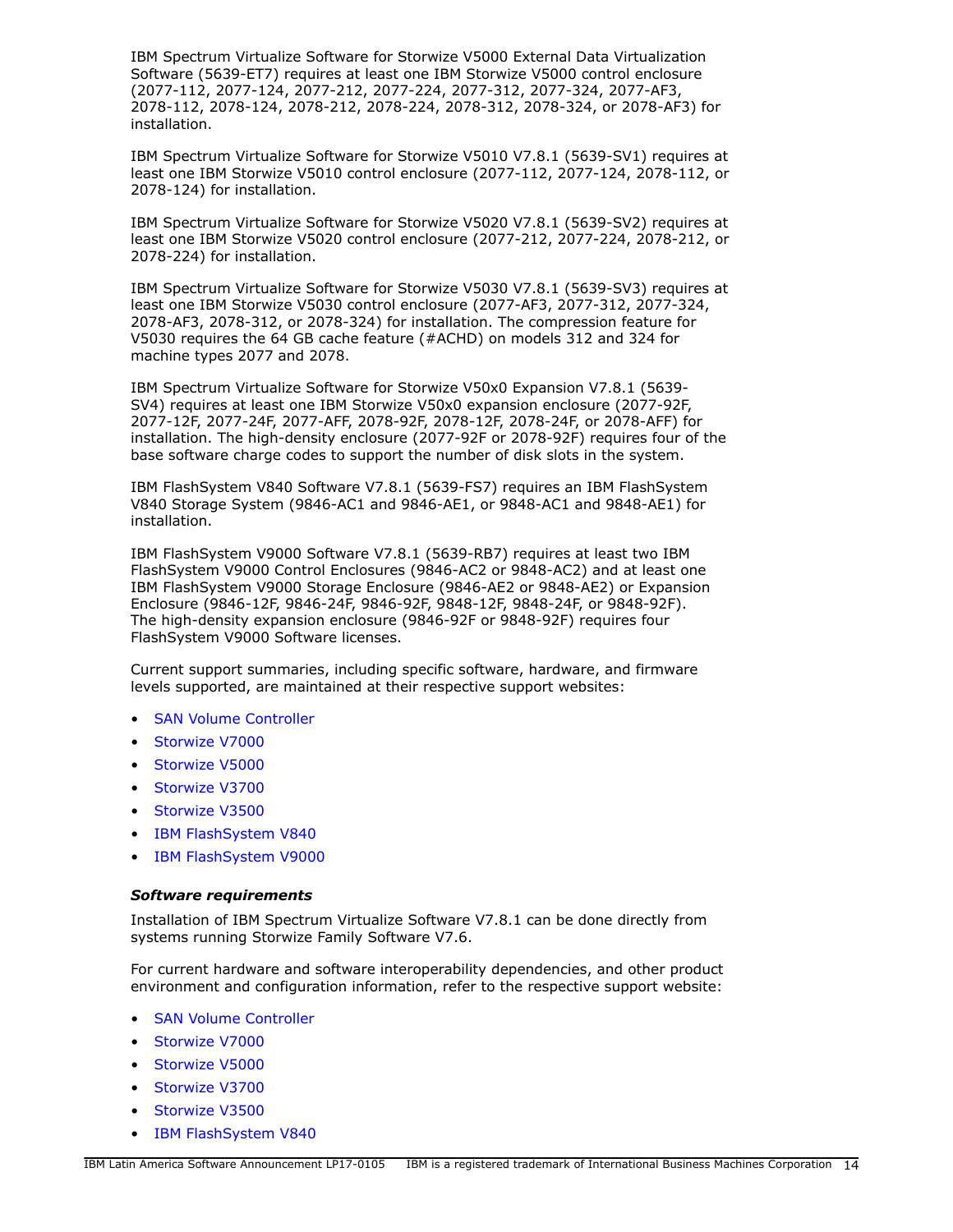IBM Spectrum Virtualize Software for Storwize V5000 External Data Virtualization Software (5639-ET7) requires at least one IBM Storwize V5000 control enclosure (2077-112, 2077-124, 2077-212, 2077-224, 2077-312, 2077-324, 2077-AF3, 2078-112, 2078-124, 2078-212, 2078-224, 2078-312, 2078-324, or 2078-AF3) for installation.

IBM Spectrum Virtualize Software for Storwize V5010 V7.8.1 (5639-SV1) requires at least one IBM Storwize V5010 control enclosure (2077-112, 2077-124, 2078-112, or 2078-124) for installation.

IBM Spectrum Virtualize Software for Storwize V5020 V7.8.1 (5639-SV2) requires at least one IBM Storwize V5020 control enclosure (2077-212, 2077-224, 2078-212, or 2078-224) for installation.

IBM Spectrum Virtualize Software for Storwize V5030 V7.8.1 (5639-SV3) requires at least one IBM Storwize V5030 control enclosure (2077-AF3, 2077-312, 2077-324, 2078-AF3, 2078-312, or 2078-324) for installation. The compression feature for V5030 requires the 64 GB cache feature (#ACHD) on models 312 and 324 for machine types 2077 and 2078.

IBM Spectrum Virtualize Software for Storwize V50x0 Expansion V7.8.1 (5639- SV4) requires at least one IBM Storwize V50x0 expansion enclosure (2077-92F, 2077-12F, 2077-24F, 2077-AFF, 2078-92F, 2078-12F, 2078-24F, or 2078-AFF) for installation. The high-density enclosure (2077-92F or 2078-92F) requires four of the base software charge codes to support the number of disk slots in the system.

IBM FlashSystem V840 Software V7.8.1 (5639-FS7) requires an IBM FlashSystem V840 Storage System (9846-AC1 and 9846-AE1, or 9848-AC1 and 9848-AE1) for installation.

IBM FlashSystem V9000 Software V7.8.1 (5639-RB7) requires at least two IBM FlashSystem V9000 Control Enclosures (9846-AC2 or 9848-AC2) and at least one IBM FlashSystem V9000 Storage Enclosure (9846-AE2 or 9848-AE2) or Expansion Enclosure (9846-12F, 9846-24F, 9846-92F, 9848-12F, 9848-24F, or 9848-92F). The high-density expansion enclosure (9846-92F or 9848-92F) requires four FlashSystem V9000 Software licenses.

Current support summaries, including specific software, hardware, and firmware levels supported, are maintained at their respective support websites:

- [SAN Volume Controller](http://www.ibm.com/storage/support/2145)
- [Storwize V7000](http://www-03.ibm.com/systems/storage/storwize/#Family-of-software)
- [Storwize V5000](http://www-03.ibm.com/systems/storage/storwize/#Family-of-software)
- [Storwize V3700](http://www-03.ibm.com/systems/storage/storwize/#Family-of-software)
- [Storwize V3500](http://www-03.ibm.com/systems/storage/storwize/#Family-of-software)
- [IBM FlashSystem V840](https://www-947.ibm.com/support/entry/portal/product/system_storage/flash_storage/flash_high_availability_systems/ibm_flashsystem_v840?productContext=863560521)
- [IBM FlashSystem V9000](https://www-947.ibm.com/support/entry/portal/product/system_storage/flash_storage/flash_high_availability_systems/ibm_flashsystem_v9000?productContext=-1330121379)

## *Software requirements*

Installation of IBM Spectrum Virtualize Software V7.8.1 can be done directly from systems running Storwize Family Software V7.6.

For current hardware and software interoperability dependencies, and other product environment and configuration information, refer to the respective support website:

- **[SAN Volume Controller](http://www.ibm.com/storage/support/2145)**
- [Storwize V7000](http://www-03.ibm.com/systems/storage/storwize/#Family-of-software)
- [Storwize V5000](http://www-03.ibm.com/systems/storage/storwize/#Family-of-software)
- [Storwize V3700](http://www-03.ibm.com/systems/storage/storwize/#Family-of-software)
- [Storwize V3500](http://www-03.ibm.com/systems/storage/storwize/#Family-of-software)
- [IBM FlashSystem V840](https://www-947.ibm.com/support/entry/portal/product/system_storage/flash_storage/flash_high_availability_systems/ibm_flashsystem_v840?productContext=863560521)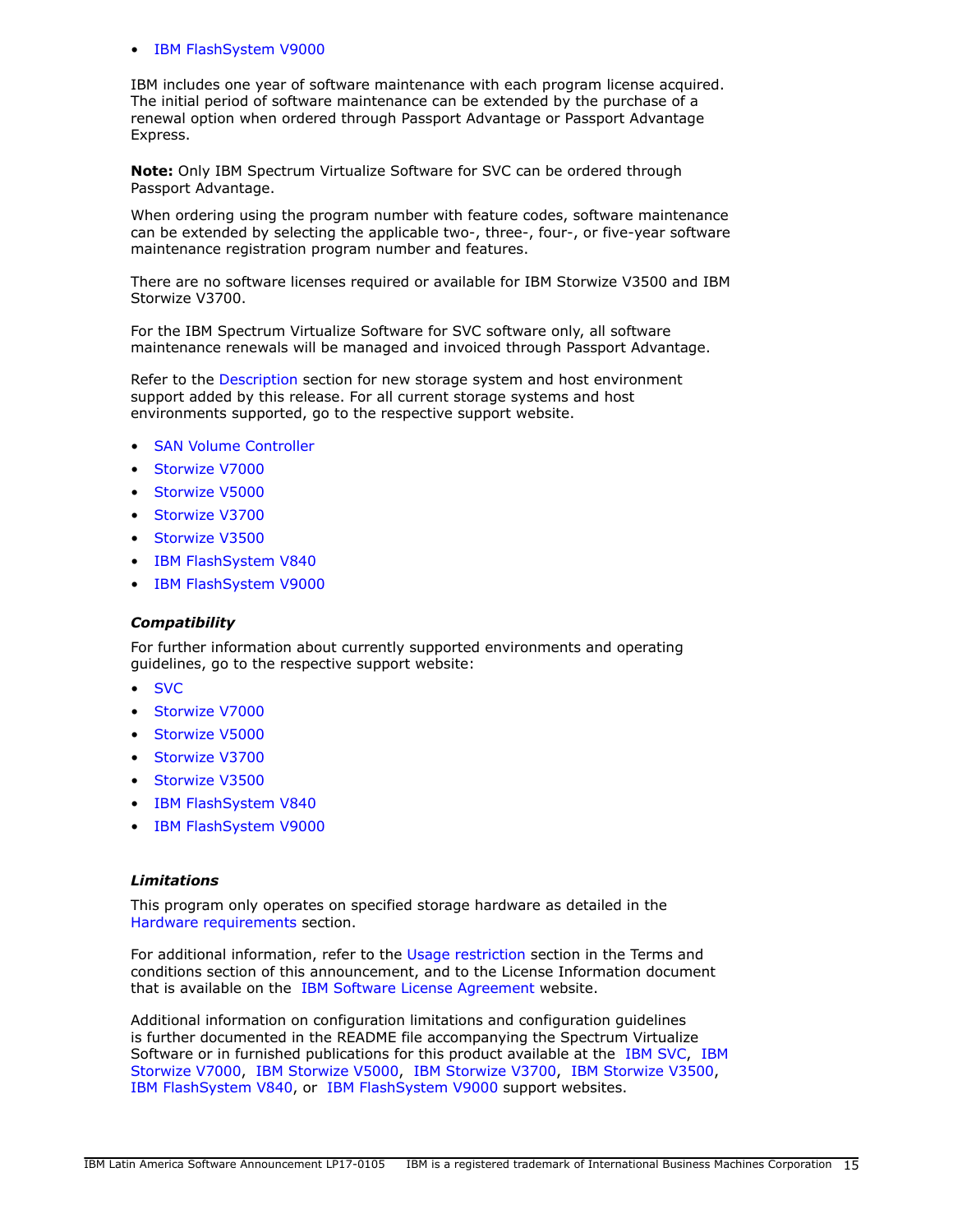#### • [IBM FlashSystem V9000](https://www-947.ibm.com/support/entry/portal/product/system_storage/flash_storage/flash_high_availability_systems/ibm_flashsystem_v9000?productContext=-1330121379)

IBM includes one year of software maintenance with each program license acquired. The initial period of software maintenance can be extended by the purchase of a renewal option when ordered through Passport Advantage or Passport Advantage Express.

**Note:** Only IBM Spectrum Virtualize Software for SVC can be ordered through Passport Advantage.

When ordering using the program number with feature codes, software maintenance can be extended by selecting the applicable two-, three-, four-, or five-year software maintenance registration program number and features.

There are no software licenses required or available for IBM Storwize V3500 and IBM Storwize V3700.

For the IBM Spectrum Virtualize Software for SVC software only, all software maintenance renewals will be managed and invoiced through Passport Advantage.

Refer to the [Description](#page-3-1) section for new storage system and host environment support added by this release. For all current storage systems and host environments supported, go to the respective support website.

- [SAN Volume Controller](http://www.ibm.com/storage/support/2145)
- [Storwize V7000](http://www-03.ibm.com/systems/storage/storwize/#Family-of-software)
- [Storwize V5000](http://www-03.ibm.com/systems/storage/storwize/#Family-of-software)
- [Storwize V3700](http://www-03.ibm.com/systems/storage/storwize/#Family-of-software)
- [Storwize V3500](http://www-03.ibm.com/systems/storage/storwize/#Family-of-software)
- [IBM FlashSystem V840](https://www-947.ibm.com/support/entry/portal/product/system_storage/flash_storage/flash_high_availability_systems/ibm_flashsystem_v840?productContext=863560521)
- [IBM FlashSystem V9000](https://www-947.ibm.com/support/entry/portal/product/system_storage/flash_storage/flash_high_availability_systems/ibm_flashsystem_v9000?productContext=-1330121379)

#### *Compatibility*

For further information about currently supported environments and operating guidelines, go to the respective support website:

- [SVC](http://www.ibm.com/storage/support/2145)
- [Storwize V7000](http://www-03.ibm.com/systems/storage/storwize/#Family-of-software)
- [Storwize V5000](http://www-03.ibm.com/systems/storage/storwize/#Family-of-software)
- [Storwize V3700](http://www-03.ibm.com/systems/storage/storwize/#Family-of-software)
- [Storwize V3500](http://www-03.ibm.com/systems/storage/storwize/#Family-of-software)
- [IBM FlashSystem V840](https://www-947.ibm.com/support/entry/portal/product/system_storage/flash_storage/flash_high_availability_systems/ibm_flashsystem_v840?productContext=863560521)
- [IBM FlashSystem V9000](https://www-947.ibm.com/support/entry/portal/product/system_storage/flash_storage/flash_high_availability_systems/ibm_flashsystem_v9000?productContext=-1330121379)

#### *Limitations*

This program only operates on specified storage hardware as detailed in the [Hardware requirements](#page-12-1) section.

For additional information, refer to the [Usage restriction](#page-23-0) section in the Terms and conditions section of this announcement, and to the License Information document that is available on the [IBM Software License Agreement](http://www.ibm.com/software/sla/sladb.nsf) website.

Additional information on configuration limitations and configuration guidelines is further documented in the README file accompanying the Spectrum Virtualize Software or in furnished publications for this product available at the [IBM SVC](http://www.ibm.com/storage/support/2145), [IBM](http://www.ibm.com/storage/support/storwize/v7000) [Storwize V7000](http://www.ibm.com/storage/support/storwize/v7000), [IBM Storwize V5000](http://www.ibm.com/storage/support/storwize/v5000), [IBM Storwize V3700,](http://www.ibm.com/storage/support/storwize/v3700) [IBM Storwize V3500,](http://www.ibm.com/storage/support/storwize/v3500) [IBM FlashSystem V840](https://www-947.ibm.com/support/entry/portal/product/system_storage/flash_storage/flash_high_availability_systems/ibm_flashsystem_v840?productContext=863560521), or [IBM FlashSystem V9000](https://www-947.ibm.com/support/entry/portal/product/system_storage/flash_storage/flash_high_availability_systems/ibm_flashsystem_v9000?productContext=-1330121379) support websites.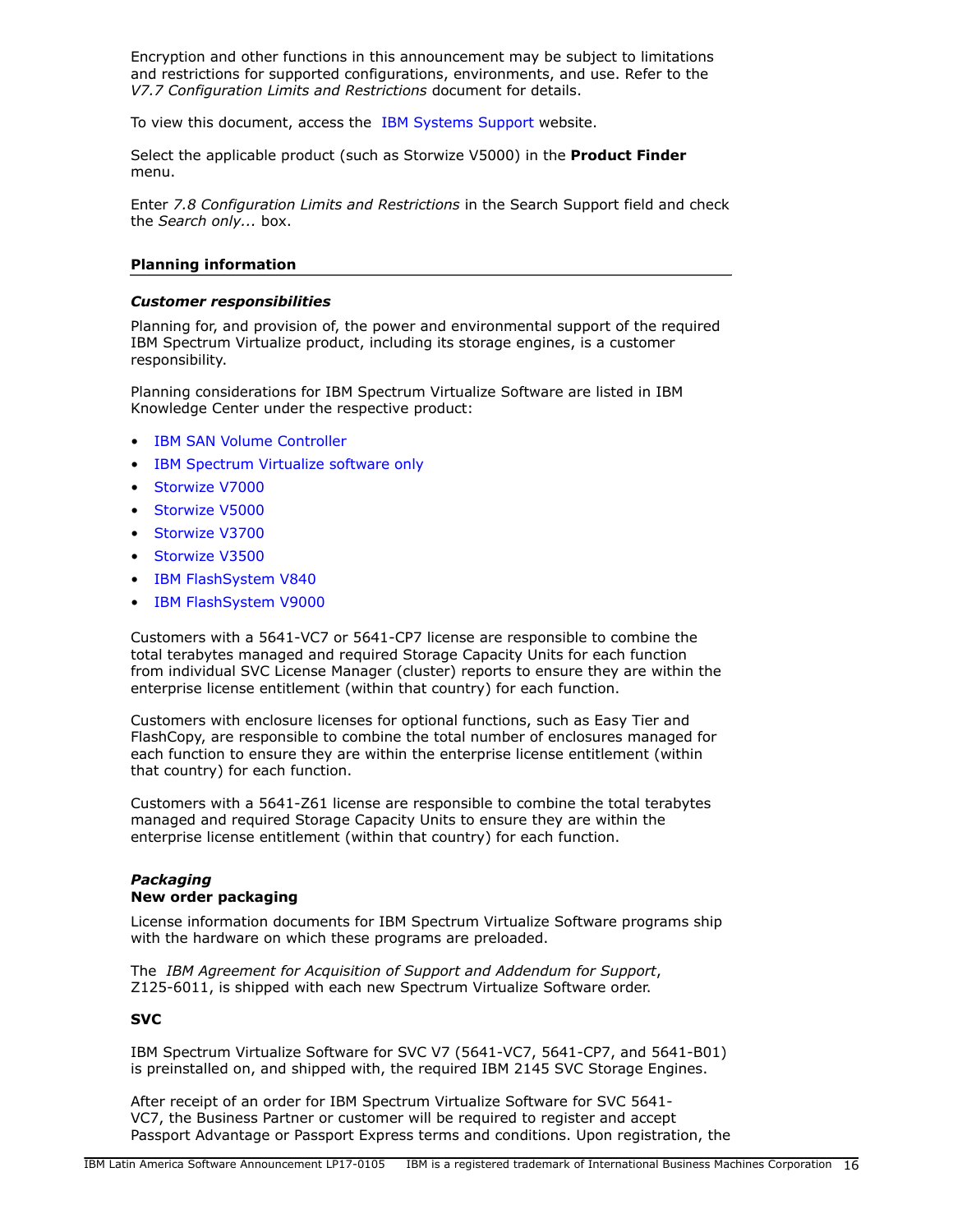Encryption and other functions in this announcement may be subject to limitations and restrictions for supported configurations, environments, and use. Refer to the *V7.7 Configuration Limits and Restrictions* document for details.

To view this document, access the [IBM Systems Support](http://www.ibm.com/support) website.

Select the applicable product (such as Storwize V5000) in the **Product Finder** menu.

Enter *7.8 Configuration Limits and Restrictions* in the Search Support field and check the *Search only...* box.

#### **Planning information**

#### *Customer responsibilities*

Planning for, and provision of, the power and environmental support of the required IBM Spectrum Virtualize product, including its storage engines, is a customer responsibility.

Planning considerations for IBM Spectrum Virtualize Software are listed in IBM Knowledge Center under the respective product:

- [IBM SAN Volume Controller](http://www-01.ibm.com/support/knowledgecenter/STPVGU/welcome)
- [IBM Spectrum Virtualize software only](http://www.ibm.com/support/knowledgecenter/search/Spectrum%20Virtualize)
- [Storwize V7000](http://www-03.ibm.com/systems/storage/storwize/#Family-of-software)
- [Storwize V5000](http://www-03.ibm.com/systems/storage/storwize/#Family-of-software)
- [Storwize V3700](http://www-03.ibm.com/systems/storage/storwize/#Family-of-software)
- [Storwize V3500](http://www-03.ibm.com/systems/storage/storwize/#Family-of-software)
- [IBM FlashSystem V840](https://www.ibm.com/support/knowledgecenter/ST2HTZ/landing/FlashSystem_V840.htm)
- [IBM FlashSystem V9000](http://www-01.ibm.com/support/knowledgecenter/STKMQV/welcome)

Customers with a 5641-VC7 or 5641-CP7 license are responsible to combine the total terabytes managed and required Storage Capacity Units for each function from individual SVC License Manager (cluster) reports to ensure they are within the enterprise license entitlement (within that country) for each function.

Customers with enclosure licenses for optional functions, such as Easy Tier and FlashCopy, are responsible to combine the total number of enclosures managed for each function to ensure they are within the enterprise license entitlement (within that country) for each function.

Customers with a 5641-Z61 license are responsible to combine the total terabytes managed and required Storage Capacity Units to ensure they are within the enterprise license entitlement (within that country) for each function.

#### *Packaging* **New order packaging**

License information documents for IBM Spectrum Virtualize Software programs ship with the hardware on which these programs are preloaded.

The *IBM Agreement for Acquisition of Support and Addendum for Support*, Z125-6011, is shipped with each new Spectrum Virtualize Software order.

## **SVC**

IBM Spectrum Virtualize Software for SVC V7 (5641-VC7, 5641-CP7, and 5641-B01) is preinstalled on, and shipped with, the required IBM 2145 SVC Storage Engines.

After receipt of an order for IBM Spectrum Virtualize Software for SVC 5641- VC7, the Business Partner or customer will be required to register and accept Passport Advantage or Passport Express terms and conditions. Upon registration, the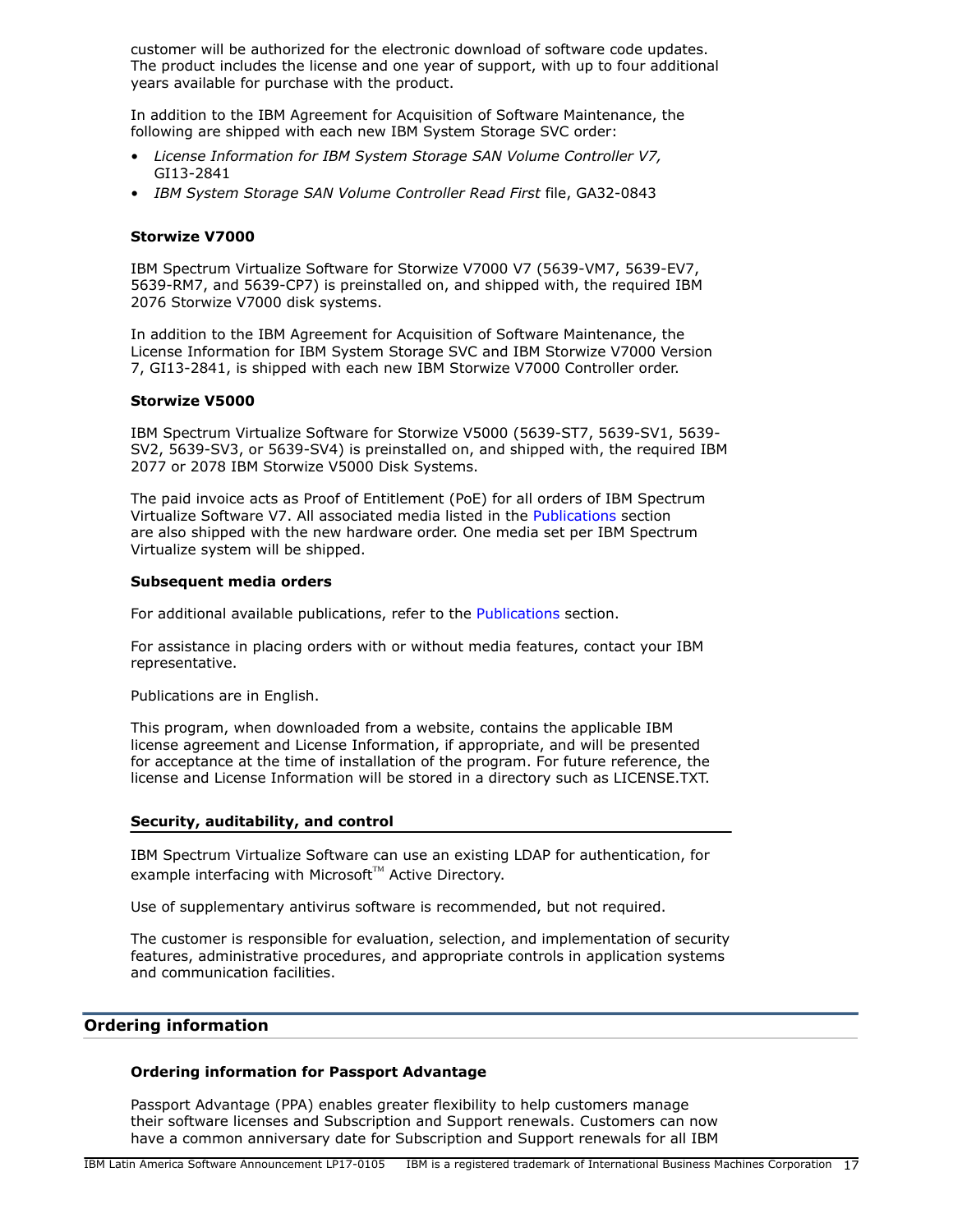customer will be authorized for the electronic download of software code updates. The product includes the license and one year of support, with up to four additional years available for purchase with the product.

In addition to the IBM Agreement for Acquisition of Software Maintenance, the following are shipped with each new IBM System Storage SVC order:

- *License Information for IBM System Storage SAN Volume Controller V7,*  GI13-2841
- *IBM System Storage SAN Volume Controller Read First* file, GA32-0843

## **Storwize V7000**

IBM Spectrum Virtualize Software for Storwize V7000 V7 (5639-VM7, 5639-EV7, 5639-RM7, and 5639-CP7) is preinstalled on, and shipped with, the required IBM 2076 Storwize V7000 disk systems.

In addition to the IBM Agreement for Acquisition of Software Maintenance, the License Information for IBM System Storage SVC and IBM Storwize V7000 Version 7, GI13-2841, is shipped with each new IBM Storwize V7000 Controller order.

## **Storwize V5000**

IBM Spectrum Virtualize Software for Storwize V5000 (5639-ST7, 5639-SV1, 5639- SV2, 5639-SV3, or 5639-SV4) is preinstalled on, and shipped with, the required IBM 2077 or 2078 IBM Storwize V5000 Disk Systems.

The paid invoice acts as Proof of Entitlement (PoE) for all orders of IBM Spectrum Virtualize Software V7. All associated media listed in the [Publications](#page-11-0) section are also shipped with the new hardware order. One media set per IBM Spectrum Virtualize system will be shipped.

#### **Subsequent media orders**

For additional available publications, refer to the [Publications](#page-11-0) section.

For assistance in placing orders with or without media features, contact your IBM representative.

Publications are in English.

This program, when downloaded from a website, contains the applicable IBM license agreement and License Information, if appropriate, and will be presented for acceptance at the time of installation of the program. For future reference, the license and License Information will be stored in a directory such as LICENSE.TXT.

#### **Security, auditability, and control**

IBM Spectrum Virtualize Software can use an existing LDAP for authentication, for example interfacing with Microsoft™ Active Directory.

Use of supplementary antivirus software is recommended, but not required.

The customer is responsible for evaluation, selection, and implementation of security features, administrative procedures, and appropriate controls in application systems and communication facilities.

## <span id="page-16-0"></span>**Ordering information**

## **Ordering information for Passport Advantage**

Passport Advantage (PPA) enables greater flexibility to help customers manage their software licenses and Subscription and Support renewals. Customers can now have a common anniversary date for Subscription and Support renewals for all IBM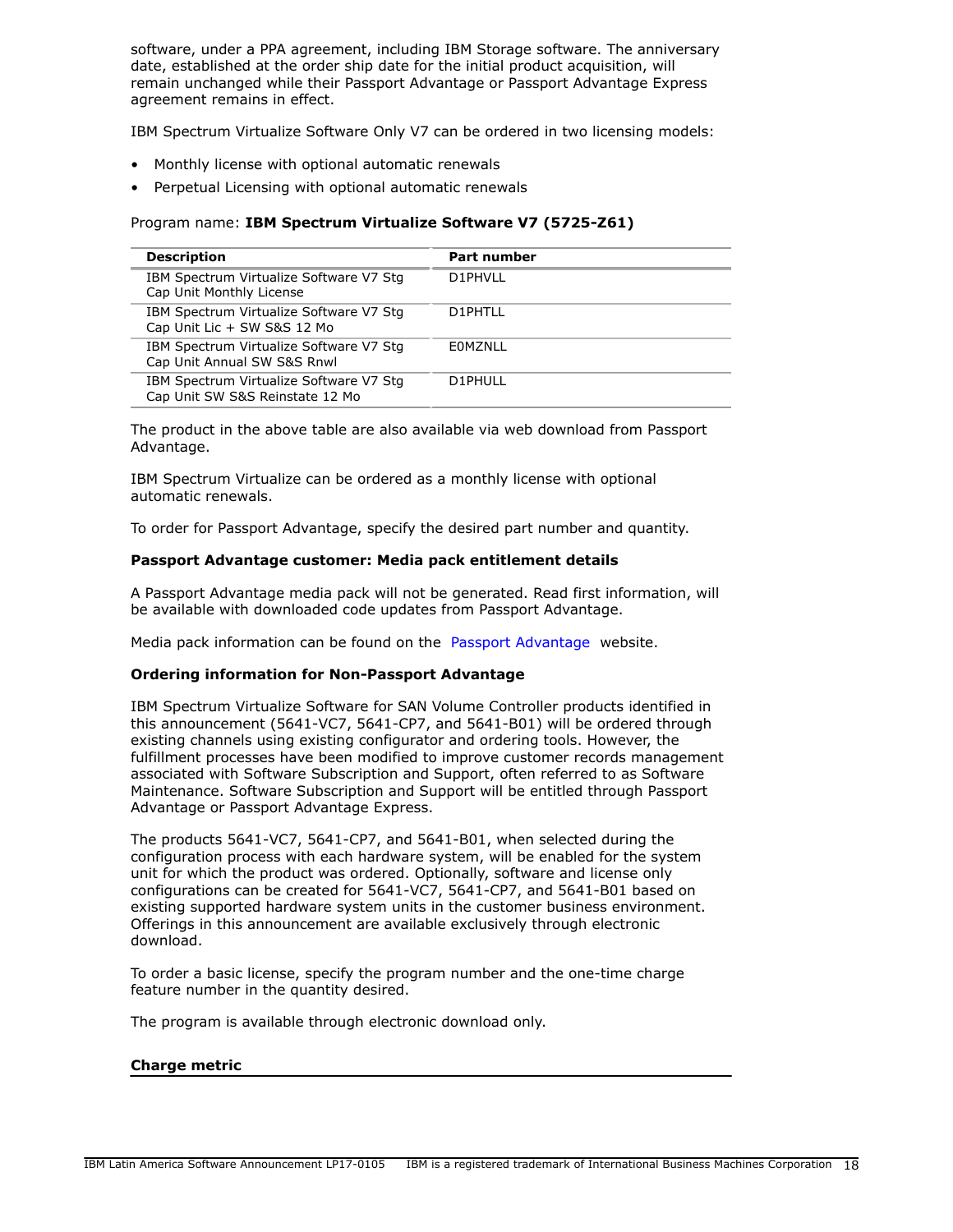software, under a PPA agreement, including IBM Storage software. The anniversary date, established at the order ship date for the initial product acquisition, will remain unchanged while their Passport Advantage or Passport Advantage Express agreement remains in effect.

IBM Spectrum Virtualize Software Only V7 can be ordered in two licensing models:

- Monthly license with optional automatic renewals
- Perpetual Licensing with optional automatic renewals

## Program name: **IBM Spectrum Virtualize Software V7 (5725-Z61)**

| <b>Description</b>                                                         | <b>Part number</b> |
|----------------------------------------------------------------------------|--------------------|
| IBM Spectrum Virtualize Software V7 Stg<br>Cap Unit Monthly License        | D1PHVII            |
| IBM Spectrum Virtualize Software V7 Stg<br>Cap Unit Lic + SW S&S 12 Mo     | D1PHTLL            |
| IBM Spectrum Virtualize Software V7 Stg<br>Cap Unit Annual SW S&S Rnwl     | EOMZNLL            |
| IBM Spectrum Virtualize Software V7 Stg<br>Cap Unit SW S&S Reinstate 12 Mo | D1PHULL            |

The product in the above table are also available via web download from Passport Advantage.

IBM Spectrum Virtualize can be ordered as a monthly license with optional automatic renewals.

To order for Passport Advantage, specify the desired part number and quantity.

## **Passport Advantage customer: Media pack entitlement details**

A Passport Advantage media pack will not be generated. Read first information, will be available with downloaded code updates from Passport Advantage.

Media pack information can be found on the [Passport Advantage](http://www.ibm.com/software/passportadvantage) website.

## **Ordering information for Non-Passport Advantage**

IBM Spectrum Virtualize Software for SAN Volume Controller products identified in this announcement (5641-VC7, 5641-CP7, and 5641-B01) will be ordered through existing channels using existing configurator and ordering tools. However, the fulfillment processes have been modified to improve customer records management associated with Software Subscription and Support, often referred to as Software Maintenance. Software Subscription and Support will be entitled through Passport Advantage or Passport Advantage Express.

The products 5641-VC7, 5641-CP7, and 5641-B01, when selected during the configuration process with each hardware system, will be enabled for the system unit for which the product was ordered. Optionally, software and license only configurations can be created for 5641-VC7, 5641-CP7, and 5641-B01 based on existing supported hardware system units in the customer business environment. Offerings in this announcement are available exclusively through electronic download.

To order a basic license, specify the program number and the one-time charge feature number in the quantity desired.

The program is available through electronic download only.

#### **Charge metric**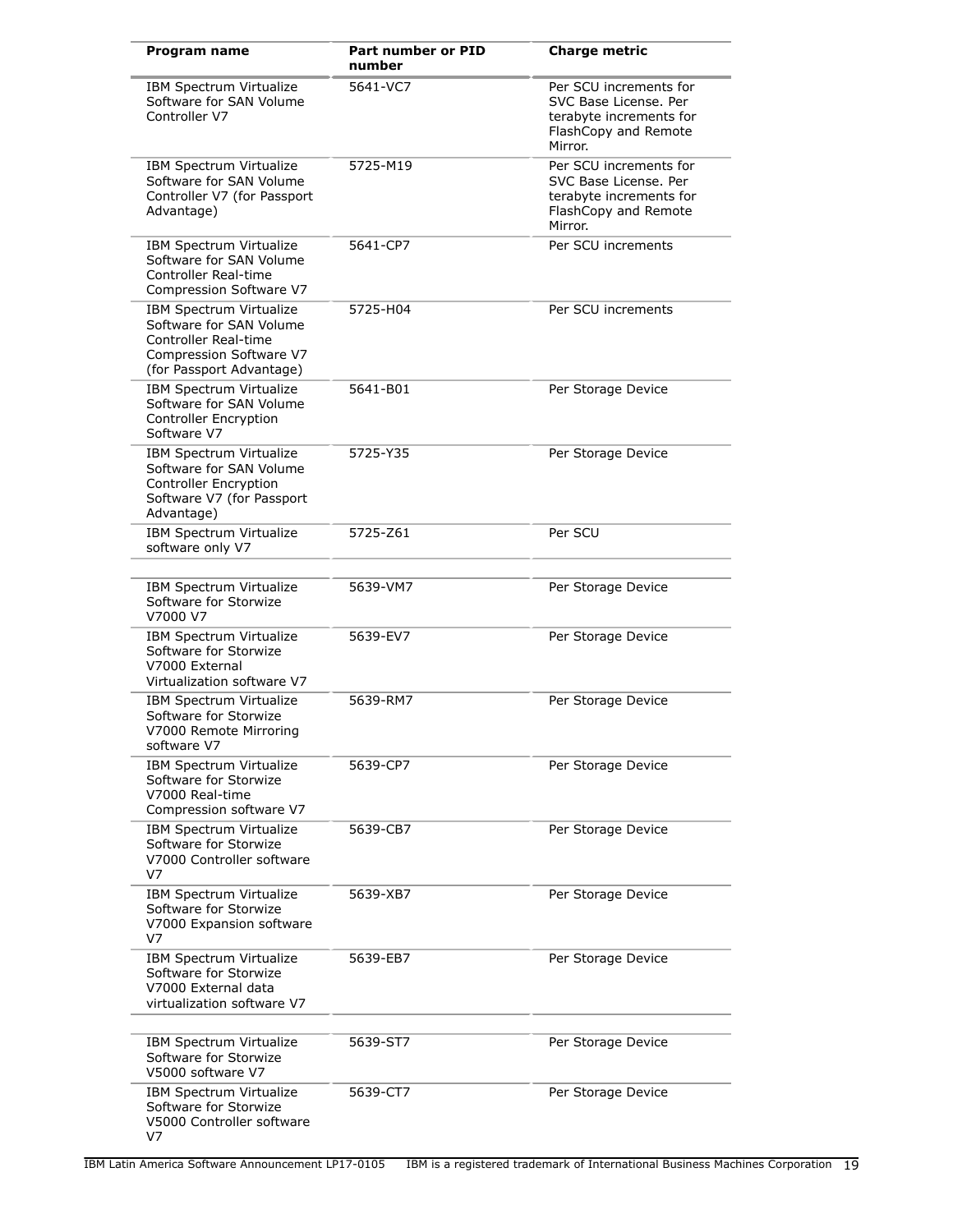| <b>Program name</b>                                                                                                               | Part number or PID<br>number | <b>Charge metric</b>                                                                                          |
|-----------------------------------------------------------------------------------------------------------------------------------|------------------------------|---------------------------------------------------------------------------------------------------------------|
| IBM Spectrum Virtualize<br>Software for SAN Volume<br>Controller V7                                                               | 5641-VC7                     | Per SCU increments for<br>SVC Base License, Per<br>terabyte increments for<br>FlashCopy and Remote<br>Mirror. |
| IBM Spectrum Virtualize<br>Software for SAN Volume<br>Controller V7 (for Passport<br>Advantage)                                   | 5725-M19                     | Per SCU increments for<br>SVC Base License, Per<br>terabyte increments for<br>FlashCopy and Remote<br>Mirror. |
| IBM Spectrum Virtualize<br>Software for SAN Volume<br>Controller Real-time<br>Compression Software V7                             | 5641-CP7                     | Per SCU increments                                                                                            |
| IBM Spectrum Virtualize<br>Software for SAN Volume<br>Controller Real-time<br>Compression Software V7<br>(for Passport Advantage) | 5725-H04                     | Per SCU increments                                                                                            |
| IBM Spectrum Virtualize<br>Software for SAN Volume<br><b>Controller Encryption</b><br>Software V7                                 | 5641-B01                     | Per Storage Device                                                                                            |
| IBM Spectrum Virtualize<br>Software for SAN Volume<br><b>Controller Encryption</b><br>Software V7 (for Passport<br>Advantage)     | 5725-Y35                     | Per Storage Device                                                                                            |
| IBM Spectrum Virtualize<br>software only V7                                                                                       | 5725-Z61                     | Per SCU                                                                                                       |
| IBM Spectrum Virtualize<br>Software for Storwize<br>V7000 V7                                                                      | 5639-VM7                     | Per Storage Device                                                                                            |
| IBM Spectrum Virtualize<br>Software for Storwize<br>V7000 External<br>Virtualization software V7                                  | 5639-EV7                     | Per Storage Device                                                                                            |
| IBM Spectrum Virtualize<br>Software for Storwize<br>V7000 Remote Mirroring<br>software V7                                         | 5639-RM7                     | Per Storage Device                                                                                            |
| IBM Spectrum Virtualize<br>Software for Storwize<br>V7000 Real-time<br>Compression software V7                                    | 5639-CP7                     | Per Storage Device                                                                                            |
| IBM Spectrum Virtualize<br>Software for Storwize<br>V7000 Controller software<br>V7                                               | 5639-CB7                     | Per Storage Device                                                                                            |
| IBM Spectrum Virtualize<br>Software for Storwize<br>V7000 Expansion software<br>V7                                                | 5639-XB7                     | Per Storage Device                                                                                            |
| IBM Spectrum Virtualize<br>Software for Storwize<br>V7000 External data<br>virtualization software V7                             | 5639-EB7                     | Per Storage Device                                                                                            |
| IBM Spectrum Virtualize<br>Software for Storwize<br>V5000 software V7                                                             | 5639-ST7                     | Per Storage Device                                                                                            |
| IBM Spectrum Virtualize<br>Software for Storwize<br>V5000 Controller software<br>V7                                               | 5639-CT7                     | Per Storage Device                                                                                            |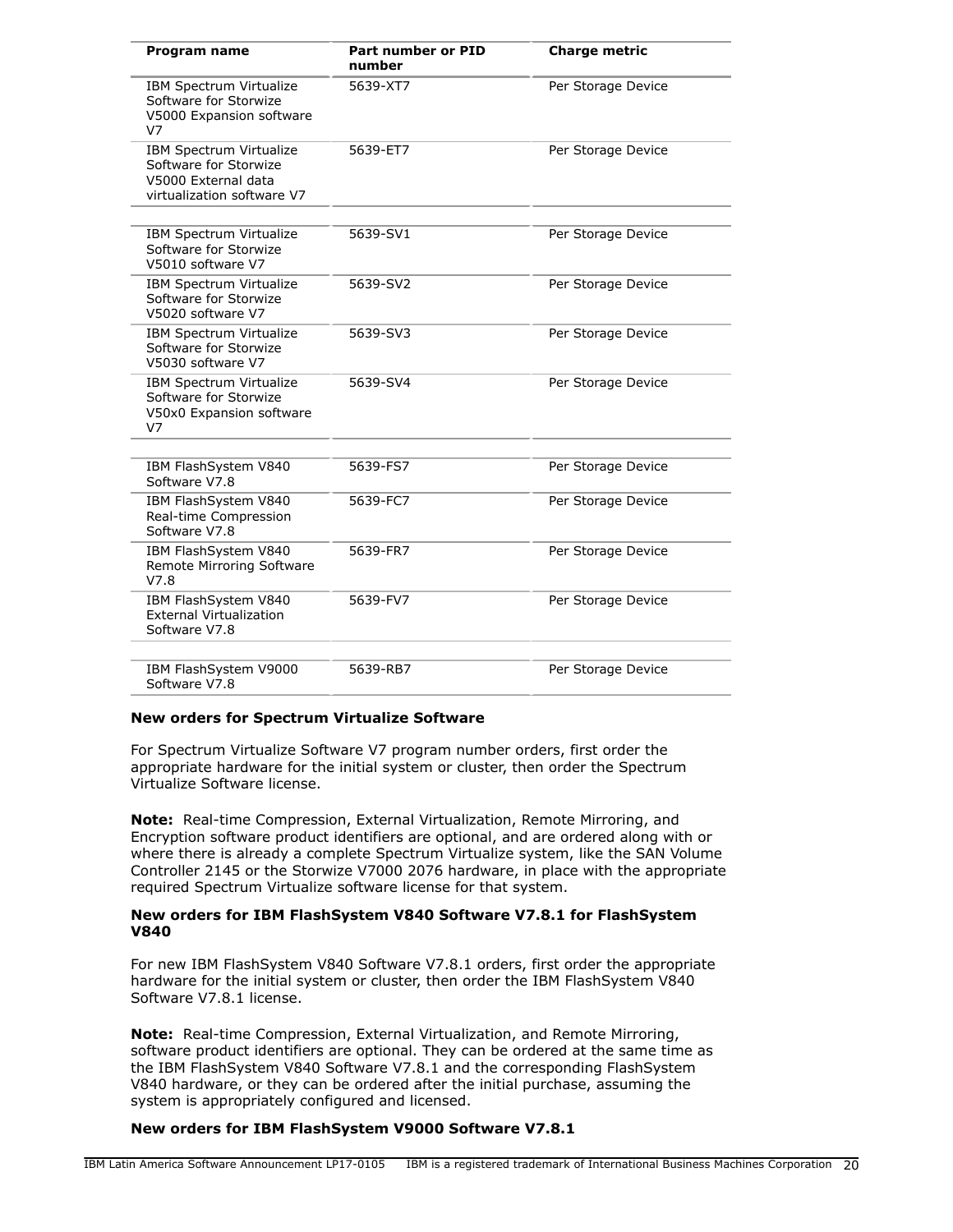| Program name                                                                                          | <b>Part number or PID</b><br>number | <b>Charge metric</b> |
|-------------------------------------------------------------------------------------------------------|-------------------------------------|----------------------|
| <b>IBM Spectrum Virtualize</b><br>Software for Storwize<br>V5000 Expansion software<br>V <sub>7</sub> | 5639-XT7                            | Per Storage Device   |
| IBM Spectrum Virtualize<br>Software for Storwize<br>V5000 External data<br>virtualization software V7 | 5639-ET7                            | Per Storage Device   |
| IBM Spectrum Virtualize<br>Software for Storwize<br>V5010 software V7                                 | 5639-SV1                            | Per Storage Device   |
| IBM Spectrum Virtualize<br>Software for Storwize<br>V5020 software V7                                 | 5639-SV2                            | Per Storage Device   |
| IBM Spectrum Virtualize<br>Software for Storwize<br>V5030 software V7                                 | 5639-SV3                            | Per Storage Device   |
| <b>IBM Spectrum Virtualize</b><br>Software for Storwize<br>V50x0 Expansion software<br>V <sub>7</sub> | 5639-SV4                            | Per Storage Device   |
| IBM FlashSystem V840<br>Software V7.8                                                                 | 5639-FS7                            | Per Storage Device   |
| IBM FlashSystem V840<br>Real-time Compression<br>Software V7.8                                        | 5639-FC7                            | Per Storage Device   |
| IBM FlashSystem V840<br>Remote Mirroring Software<br>V7.8                                             | 5639-FR7                            | Per Storage Device   |
| IBM FlashSystem V840<br><b>External Virtualization</b><br>Software V7.8                               | 5639-FV7                            | Per Storage Device   |
| IBM FlashSystem V9000<br>Software V7.8                                                                | 5639-RB7                            | Per Storage Device   |

#### **New orders for Spectrum Virtualize Software**

For Spectrum Virtualize Software V7 program number orders, first order the appropriate hardware for the initial system or cluster, then order the Spectrum Virtualize Software license.

**Note:** Real-time Compression, External Virtualization, Remote Mirroring, and Encryption software product identifiers are optional, and are ordered along with or where there is already a complete Spectrum Virtualize system, like the SAN Volume Controller 2145 or the Storwize V7000 2076 hardware, in place with the appropriate required Spectrum Virtualize software license for that system.

#### **New orders for IBM FlashSystem V840 Software V7.8.1 for FlashSystem V840**

For new IBM FlashSystem V840 Software V7.8.1 orders, first order the appropriate hardware for the initial system or cluster, then order the IBM FlashSystem V840 Software V7.8.1 license.

**Note:** Real-time Compression, External Virtualization, and Remote Mirroring, software product identifiers are optional. They can be ordered at the same time as the IBM FlashSystem V840 Software V7.8.1 and the corresponding FlashSystem V840 hardware, or they can be ordered after the initial purchase, assuming the system is appropriately configured and licensed.

#### **New orders for IBM FlashSystem V9000 Software V7.8.1**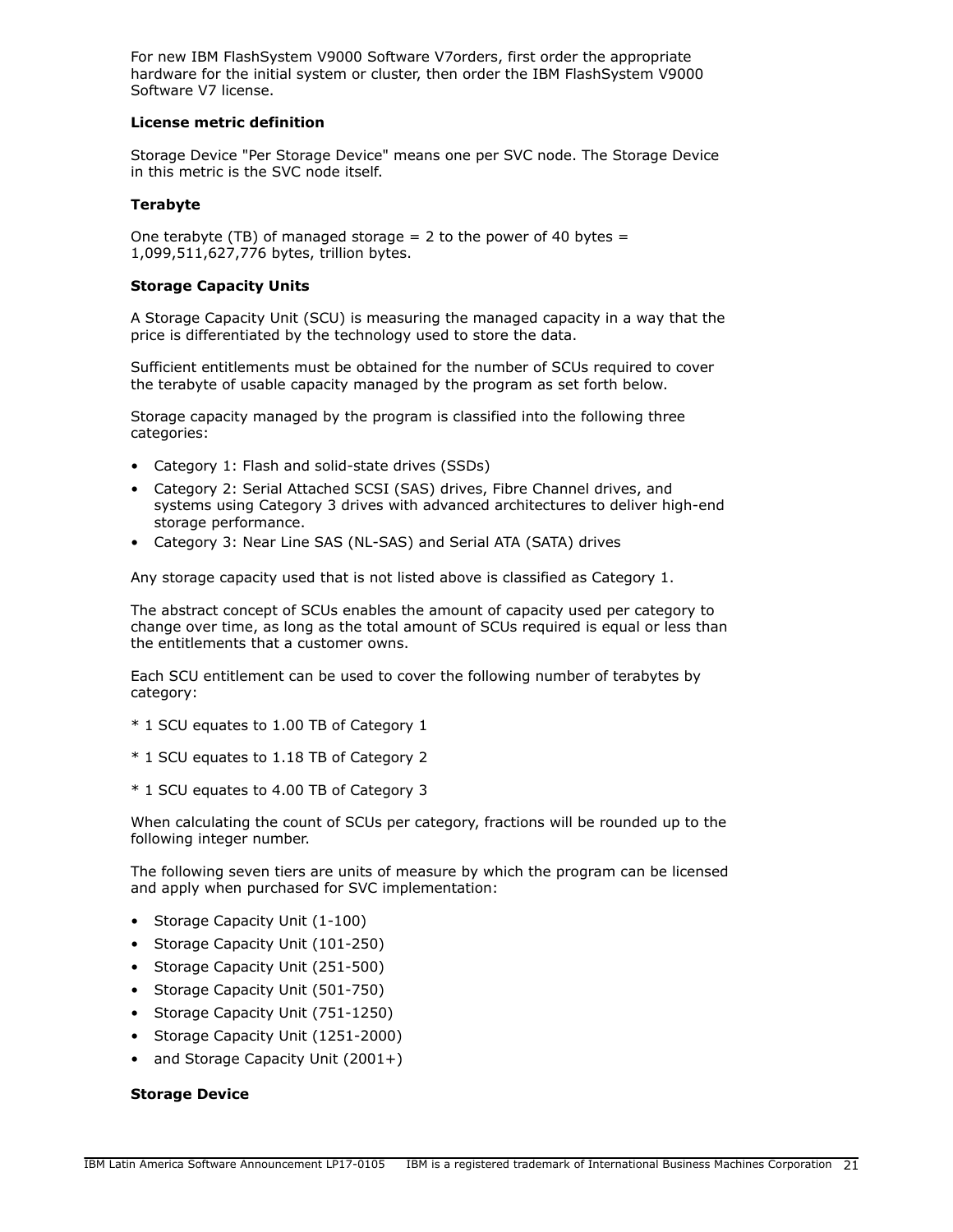For new IBM FlashSystem V9000 Software V7orders, first order the appropriate hardware for the initial system or cluster, then order the IBM FlashSystem V9000 Software V7 license.

#### **License metric definition**

Storage Device "Per Storage Device" means one per SVC node. The Storage Device in this metric is the SVC node itself.

## **Terabyte**

One terabyte (TB) of managed storage  $= 2$  to the power of 40 bytes  $=$ 1,099,511,627,776 bytes, trillion bytes.

## **Storage Capacity Units**

A Storage Capacity Unit (SCU) is measuring the managed capacity in a way that the price is differentiated by the technology used to store the data.

Sufficient entitlements must be obtained for the number of SCUs required to cover the terabyte of usable capacity managed by the program as set forth below.

Storage capacity managed by the program is classified into the following three categories:

- Category 1: Flash and solid-state drives (SSDs)
- Category 2: Serial Attached SCSI (SAS) drives, Fibre Channel drives, and systems using Category 3 drives with advanced architectures to deliver high-end storage performance.
- Category 3: Near Line SAS (NL-SAS) and Serial ATA (SATA) drives

Any storage capacity used that is not listed above is classified as Category 1.

The abstract concept of SCUs enables the amount of capacity used per category to change over time, as long as the total amount of SCUs required is equal or less than the entitlements that a customer owns.

Each SCU entitlement can be used to cover the following number of terabytes by category:

- \* 1 SCU equates to 1.00 TB of Category 1
- \* 1 SCU equates to 1.18 TB of Category 2
- \* 1 SCU equates to 4.00 TB of Category 3

When calculating the count of SCUs per category, fractions will be rounded up to the following integer number.

The following seven tiers are units of measure by which the program can be licensed and apply when purchased for SVC implementation:

- Storage Capacity Unit (1-100)
- Storage Capacity Unit (101-250)
- Storage Capacity Unit (251-500)
- Storage Capacity Unit (501-750)
- Storage Capacity Unit (751-1250)
- Storage Capacity Unit (1251-2000)
- and Storage Capacity Unit (2001+)

## **Storage Device**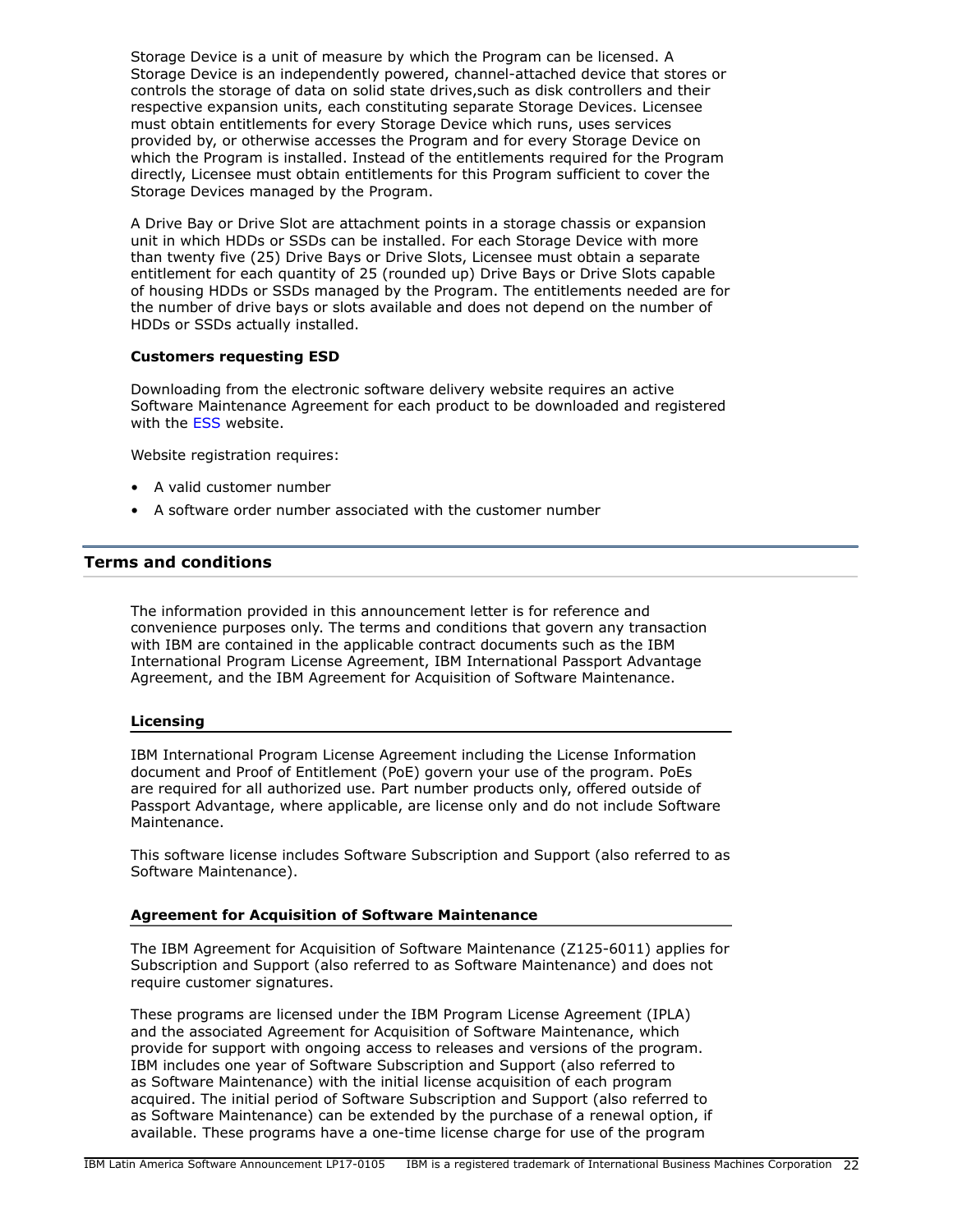Storage Device is a unit of measure by which the Program can be licensed. A Storage Device is an independently powered, channel-attached device that stores or controls the storage of data on solid state drives,such as disk controllers and their respective expansion units, each constituting separate Storage Devices. Licensee must obtain entitlements for every Storage Device which runs, uses services provided by, or otherwise accesses the Program and for every Storage Device on which the Program is installed. Instead of the entitlements required for the Program directly, Licensee must obtain entitlements for this Program sufficient to cover the Storage Devices managed by the Program.

A Drive Bay or Drive Slot are attachment points in a storage chassis or expansion unit in which HDDs or SSDs can be installed. For each Storage Device with more than twenty five (25) Drive Bays or Drive Slots, Licensee must obtain a separate entitlement for each quantity of 25 (rounded up) Drive Bays or Drive Slots capable of housing HDDs or SSDs managed by the Program. The entitlements needed are for the number of drive bays or slots available and does not depend on the number of HDDs or SSDs actually installed.

## **Customers requesting ESD**

Downloading from the electronic software delivery website requires an active Software Maintenance Agreement for each product to be downloaded and registered with the [ESS](http://www.ibm.com/servers/eserver/ess) website.

Website registration requires:

- A valid customer number
- A software order number associated with the customer number

## <span id="page-21-0"></span>**Terms and conditions**

The information provided in this announcement letter is for reference and convenience purposes only. The terms and conditions that govern any transaction with IBM are contained in the applicable contract documents such as the IBM International Program License Agreement, IBM International Passport Advantage Agreement, and the IBM Agreement for Acquisition of Software Maintenance.

#### **Licensing**

IBM International Program License Agreement including the License Information document and Proof of Entitlement (PoE) govern your use of the program. PoEs are required for all authorized use. Part number products only, offered outside of Passport Advantage, where applicable, are license only and do not include Software Maintenance.

This software license includes Software Subscription and Support (also referred to as Software Maintenance).

## **Agreement for Acquisition of Software Maintenance**

The IBM Agreement for Acquisition of Software Maintenance (Z125-6011) applies for Subscription and Support (also referred to as Software Maintenance) and does not require customer signatures.

These programs are licensed under the IBM Program License Agreement (IPLA) and the associated Agreement for Acquisition of Software Maintenance, which provide for support with ongoing access to releases and versions of the program. IBM includes one year of Software Subscription and Support (also referred to as Software Maintenance) with the initial license acquisition of each program acquired. The initial period of Software Subscription and Support (also referred to as Software Maintenance) can be extended by the purchase of a renewal option, if available. These programs have a one-time license charge for use of the program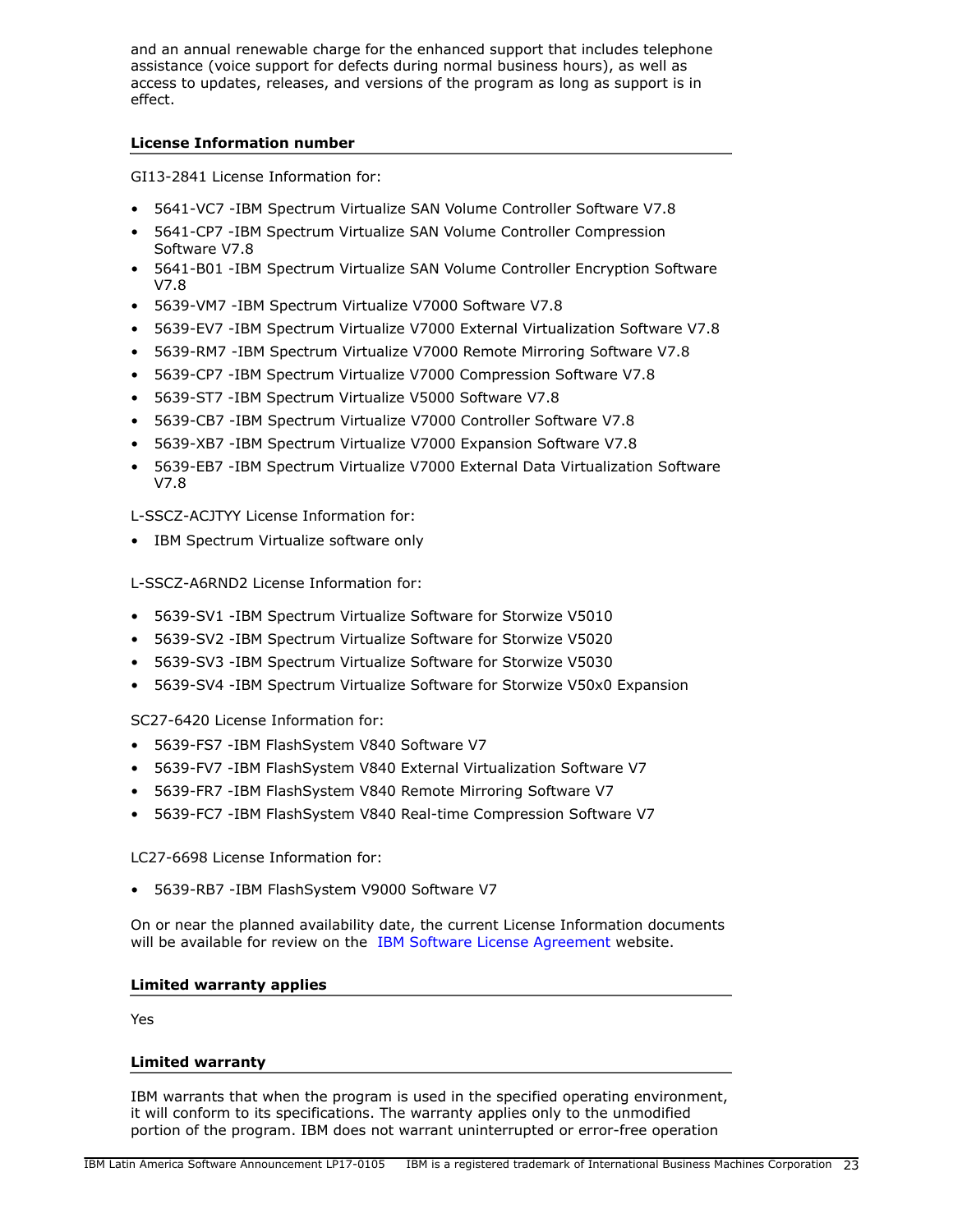and an annual renewable charge for the enhanced support that includes telephone assistance (voice support for defects during normal business hours), as well as access to updates, releases, and versions of the program as long as support is in effect.

## **License Information number**

GI13-2841 License Information for:

- 5641-VC7 -IBM Spectrum Virtualize SAN Volume Controller Software V7.8
- 5641-CP7 -IBM Spectrum Virtualize SAN Volume Controller Compression Software V7.8
- 5641-B01 -IBM Spectrum Virtualize SAN Volume Controller Encryption Software V7.8
- 5639-VM7 -IBM Spectrum Virtualize V7000 Software V7.8
- 5639-EV7 -IBM Spectrum Virtualize V7000 External Virtualization Software V7.8
- 5639-RM7 -IBM Spectrum Virtualize V7000 Remote Mirroring Software V7.8
- 5639-CP7 -IBM Spectrum Virtualize V7000 Compression Software V7.8
- 5639-ST7 -IBM Spectrum Virtualize V5000 Software V7.8
- 5639-CB7 -IBM Spectrum Virtualize V7000 Controller Software V7.8
- 5639-XB7 -IBM Spectrum Virtualize V7000 Expansion Software V7.8
- 5639-EB7 -IBM Spectrum Virtualize V7000 External Data Virtualization Software V7.8

L-SSCZ-ACJTYY License Information for:

• IBM Spectrum Virtualize software only

L-SSCZ-A6RND2 License Information for:

- 5639-SV1 -IBM Spectrum Virtualize Software for Storwize V5010
- 5639-SV2 -IBM Spectrum Virtualize Software for Storwize V5020
- 5639-SV3 -IBM Spectrum Virtualize Software for Storwize V5030
- 5639-SV4 -IBM Spectrum Virtualize Software for Storwize V50x0 Expansion

SC27-6420 License Information for:

- 5639-FS7 -IBM FlashSystem V840 Software V7
- 5639-FV7 -IBM FlashSystem V840 External Virtualization Software V7
- 5639-FR7 -IBM FlashSystem V840 Remote Mirroring Software V7
- 5639-FC7 -IBM FlashSystem V840 Real-time Compression Software V7

LC27-6698 License Information for:

• 5639-RB7 -IBM FlashSystem V9000 Software V7

On or near the planned availability date, the current License Information documents will be available for review on the [IBM Software License Agreement](http://www.ibm.com/software/sla/sladb.nsf) website.

## **Limited warranty applies**

Yes

## **Limited warranty**

IBM warrants that when the program is used in the specified operating environment, it will conform to its specifications. The warranty applies only to the unmodified portion of the program. IBM does not warrant uninterrupted or error-free operation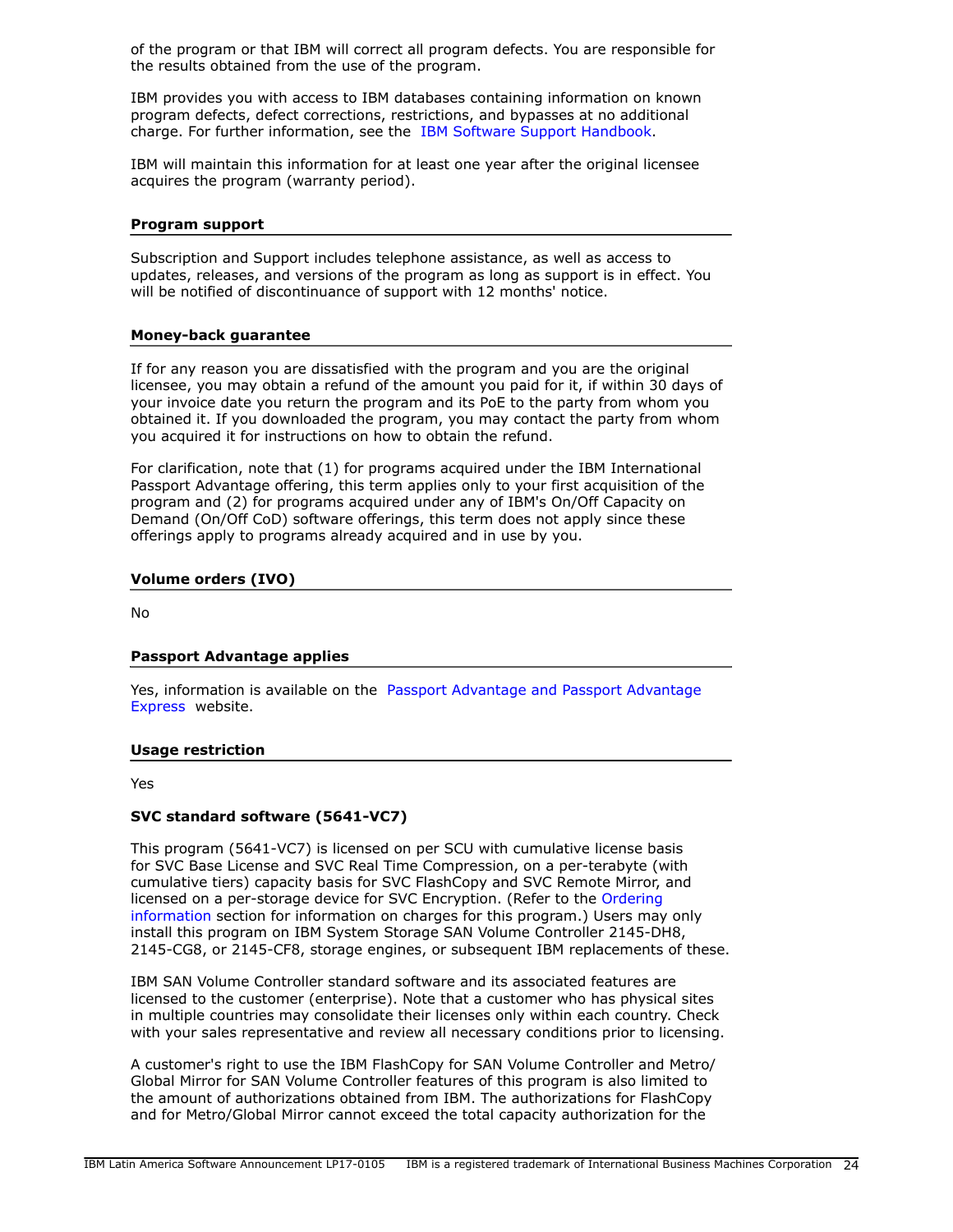of the program or that IBM will correct all program defects. You are responsible for the results obtained from the use of the program.

IBM provides you with access to IBM databases containing information on known program defects, defect corrections, restrictions, and bypasses at no additional charge. For further information, see the [IBM Software Support Handbook.](http://www.ibm.com/support/customercare/sas/f/handbook/home.html)

IBM will maintain this information for at least one year after the original licensee acquires the program (warranty period).

#### **Program support**

Subscription and Support includes telephone assistance, as well as access to updates, releases, and versions of the program as long as support is in effect. You will be notified of discontinuance of support with 12 months' notice.

#### **Money-back guarantee**

If for any reason you are dissatisfied with the program and you are the original licensee, you may obtain a refund of the amount you paid for it, if within 30 days of your invoice date you return the program and its PoE to the party from whom you obtained it. If you downloaded the program, you may contact the party from whom you acquired it for instructions on how to obtain the refund.

For clarification, note that (1) for programs acquired under the IBM International Passport Advantage offering, this term applies only to your first acquisition of the program and (2) for programs acquired under any of IBM's On/Off Capacity on Demand (On/Off CoD) software offerings, this term does not apply since these offerings apply to programs already acquired and in use by you.

#### **Volume orders (IVO)**

No

#### **Passport Advantage applies**

Yes, information is available on the [Passport Advantage and Passport Advantage](http://www.ibm.com/software/passportadvantage) [Express](http://www.ibm.com/software/passportadvantage) website.

#### <span id="page-23-0"></span>**Usage restriction**

Yes

#### **SVC standard software (5641-VC7)**

This program (5641-VC7) is licensed on per SCU with cumulative license basis for SVC Base License and SVC Real Time Compression, on a per-terabyte (with cumulative tiers) capacity basis for SVC FlashCopy and SVC Remote Mirror, and licensed on a per-storage device for SVC Encryption. (Refer to the [Ordering](#page-16-0) [information](#page-16-0) section for information on charges for this program.) Users may only install this program on IBM System Storage SAN Volume Controller 2145-DH8, 2145-CG8, or 2145-CF8, storage engines, or subsequent IBM replacements of these.

IBM SAN Volume Controller standard software and its associated features are licensed to the customer (enterprise). Note that a customer who has physical sites in multiple countries may consolidate their licenses only within each country. Check with your sales representative and review all necessary conditions prior to licensing.

A customer's right to use the IBM FlashCopy for SAN Volume Controller and Metro/ Global Mirror for SAN Volume Controller features of this program is also limited to the amount of authorizations obtained from IBM. The authorizations for FlashCopy and for Metro/Global Mirror cannot exceed the total capacity authorization for the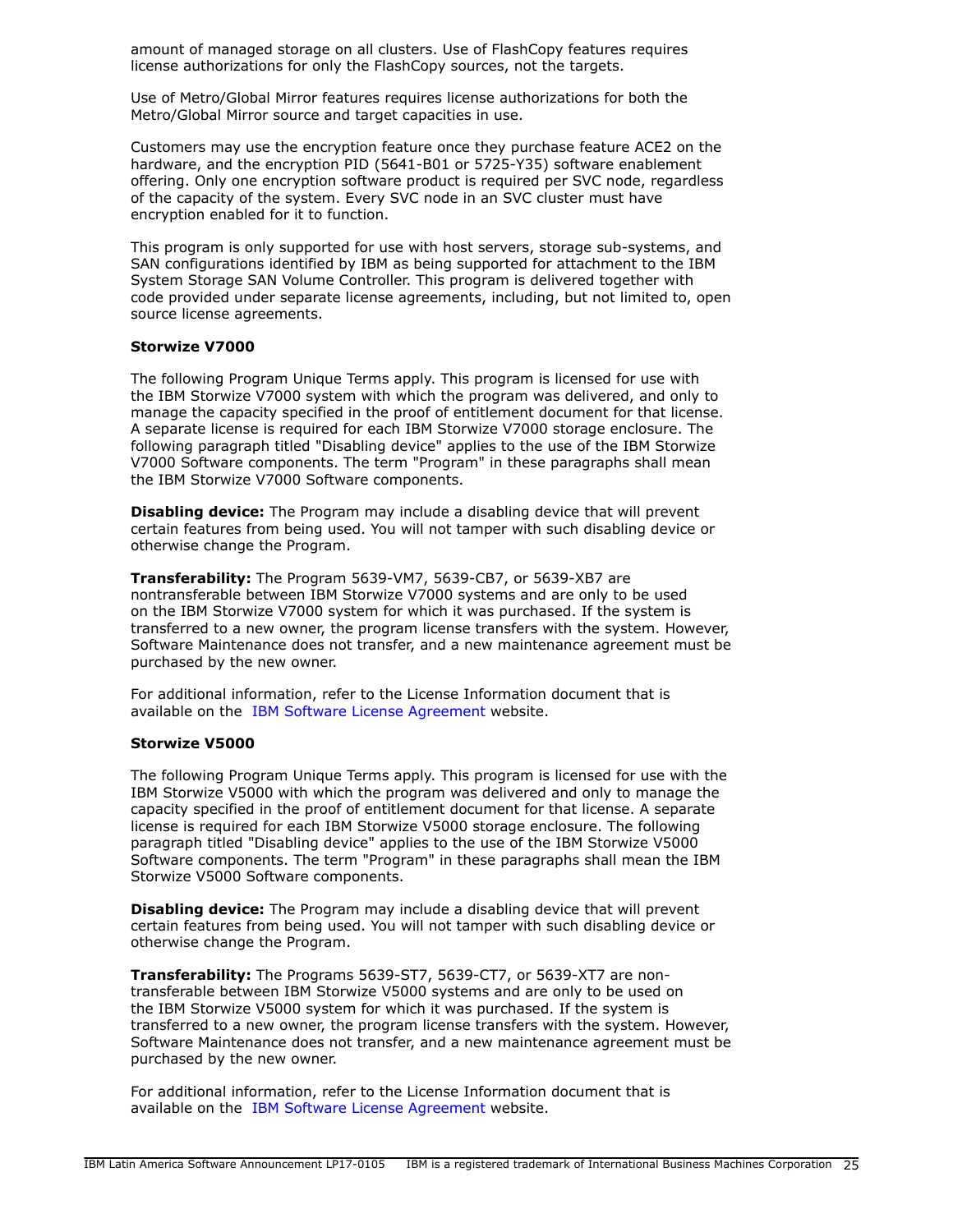amount of managed storage on all clusters. Use of FlashCopy features requires license authorizations for only the FlashCopy sources, not the targets.

Use of Metro/Global Mirror features requires license authorizations for both the Metro/Global Mirror source and target capacities in use.

Customers may use the encryption feature once they purchase feature ACE2 on the hardware, and the encryption PID (5641-B01 or 5725-Y35) software enablement offering. Only one encryption software product is required per SVC node, regardless of the capacity of the system. Every SVC node in an SVC cluster must have encryption enabled for it to function.

This program is only supported for use with host servers, storage sub-systems, and SAN configurations identified by IBM as being supported for attachment to the IBM System Storage SAN Volume Controller. This program is delivered together with code provided under separate license agreements, including, but not limited to, open source license agreements.

#### **Storwize V7000**

The following Program Unique Terms apply. This program is licensed for use with the IBM Storwize V7000 system with which the program was delivered, and only to manage the capacity specified in the proof of entitlement document for that license. A separate license is required for each IBM Storwize V7000 storage enclosure. The following paragraph titled "Disabling device" applies to the use of the IBM Storwize V7000 Software components. The term "Program" in these paragraphs shall mean the IBM Storwize V7000 Software components.

**Disabling device:** The Program may include a disabling device that will prevent certain features from being used. You will not tamper with such disabling device or otherwise change the Program.

**Transferability:** The Program 5639-VM7, 5639-CB7, or 5639-XB7 are nontransferable between IBM Storwize V7000 systems and are only to be used on the IBM Storwize V7000 system for which it was purchased. If the system is transferred to a new owner, the program license transfers with the system. However, Software Maintenance does not transfer, and a new maintenance agreement must be purchased by the new owner.

For additional information, refer to the License Information document that is available on the [IBM Software License Agreement](http://www.ibm.com/software/sla/sladb.nsf) website.

#### **Storwize V5000**

The following Program Unique Terms apply. This program is licensed for use with the IBM Storwize V5000 with which the program was delivered and only to manage the capacity specified in the proof of entitlement document for that license. A separate license is required for each IBM Storwize V5000 storage enclosure. The following paragraph titled "Disabling device" applies to the use of the IBM Storwize V5000 Software components. The term "Program" in these paragraphs shall mean the IBM Storwize V5000 Software components.

**Disabling device:** The Program may include a disabling device that will prevent certain features from being used. You will not tamper with such disabling device or otherwise change the Program.

**Transferability:** The Programs 5639-ST7, 5639-CT7, or 5639-XT7 are nontransferable between IBM Storwize V5000 systems and are only to be used on the IBM Storwize V5000 system for which it was purchased. If the system is transferred to a new owner, the program license transfers with the system. However, Software Maintenance does not transfer, and a new maintenance agreement must be purchased by the new owner.

For additional information, refer to the License Information document that is available on the [IBM Software License Agreement](http://www.ibm.com/software/sla/sladb.nsf) website.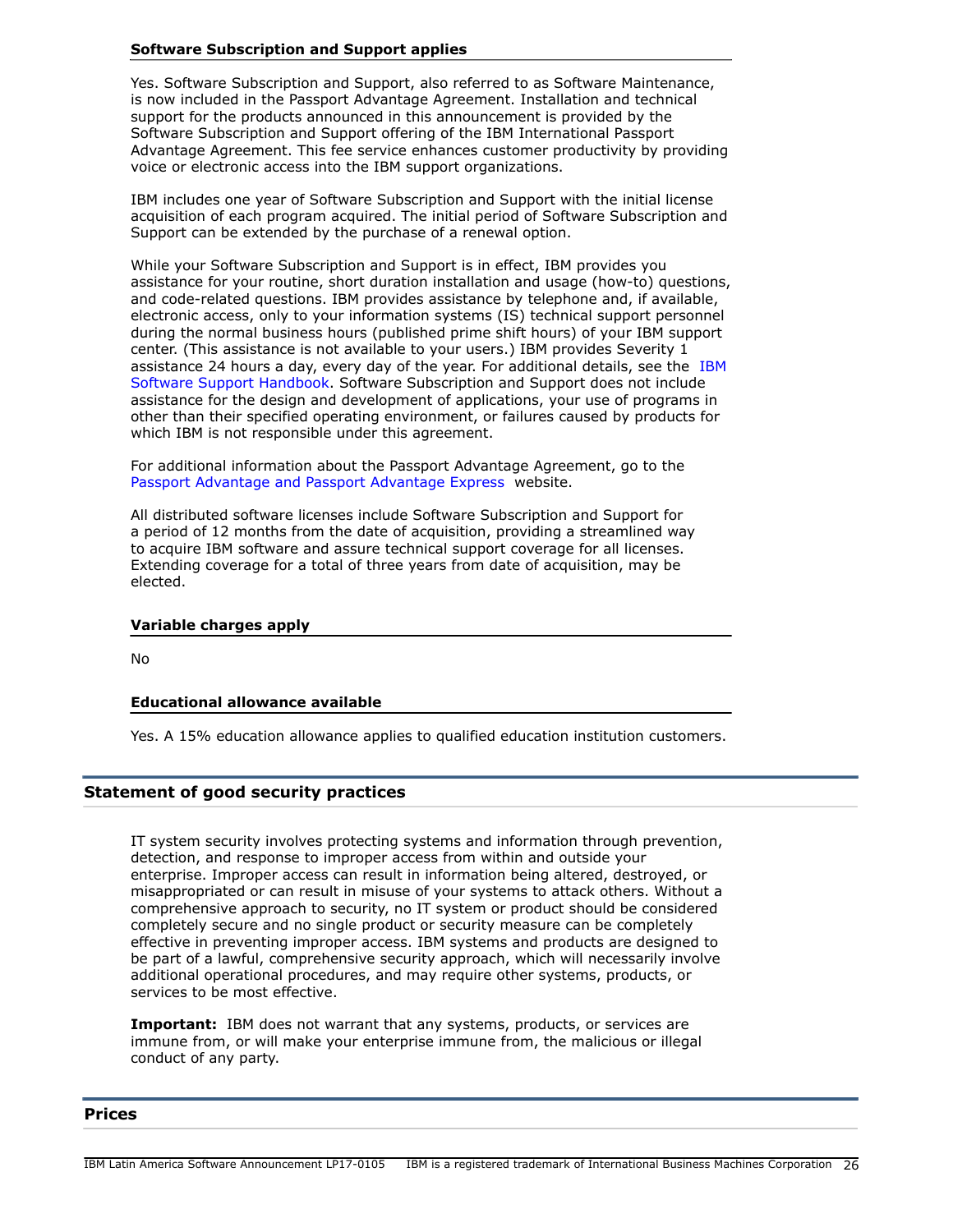Yes. Software Subscription and Support, also referred to as Software Maintenance, is now included in the Passport Advantage Agreement. Installation and technical support for the products announced in this announcement is provided by the Software Subscription and Support offering of the IBM International Passport Advantage Agreement. This fee service enhances customer productivity by providing voice or electronic access into the IBM support organizations.

IBM includes one year of Software Subscription and Support with the initial license acquisition of each program acquired. The initial period of Software Subscription and Support can be extended by the purchase of a renewal option.

While your Software Subscription and Support is in effect, IBM provides you assistance for your routine, short duration installation and usage (how-to) questions, and code-related questions. IBM provides assistance by telephone and, if available, electronic access, only to your information systems (IS) technical support personnel during the normal business hours (published prime shift hours) of your IBM support center. (This assistance is not available to your users.) IBM provides Severity 1 assistance 24 hours a day, every day of the year. For additional details, see the [IBM](http://www.ibm.com/support/customercare/sas/f/handbook/home.html) [Software Support Handbook.](http://www.ibm.com/support/customercare/sas/f/handbook/home.html) Software Subscription and Support does not include assistance for the design and development of applications, your use of programs in other than their specified operating environment, or failures caused by products for which IBM is not responsible under this agreement.

For additional information about the Passport Advantage Agreement, go to the [Passport Advantage and Passport Advantage Express](http://www.ibm.com/software/passportadvantage) website.

All distributed software licenses include Software Subscription and Support for a period of 12 months from the date of acquisition, providing a streamlined way to acquire IBM software and assure technical support coverage for all licenses. Extending coverage for a total of three years from date of acquisition, may be elected.

## **Variable charges apply**

 $N<sub>0</sub>$ 

## **Educational allowance available**

Yes. A 15% education allowance applies to qualified education institution customers.

## **Statement of good security practices**

IT system security involves protecting systems and information through prevention, detection, and response to improper access from within and outside your enterprise. Improper access can result in information being altered, destroyed, or misappropriated or can result in misuse of your systems to attack others. Without a comprehensive approach to security, no IT system or product should be considered completely secure and no single product or security measure can be completely effective in preventing improper access. IBM systems and products are designed to be part of a lawful, comprehensive security approach, which will necessarily involve additional operational procedures, and may require other systems, products, or services to be most effective.

**Important:** IBM does not warrant that any systems, products, or services are immune from, or will make your enterprise immune from, the malicious or illegal conduct of any party.

#### <span id="page-25-0"></span>**Prices**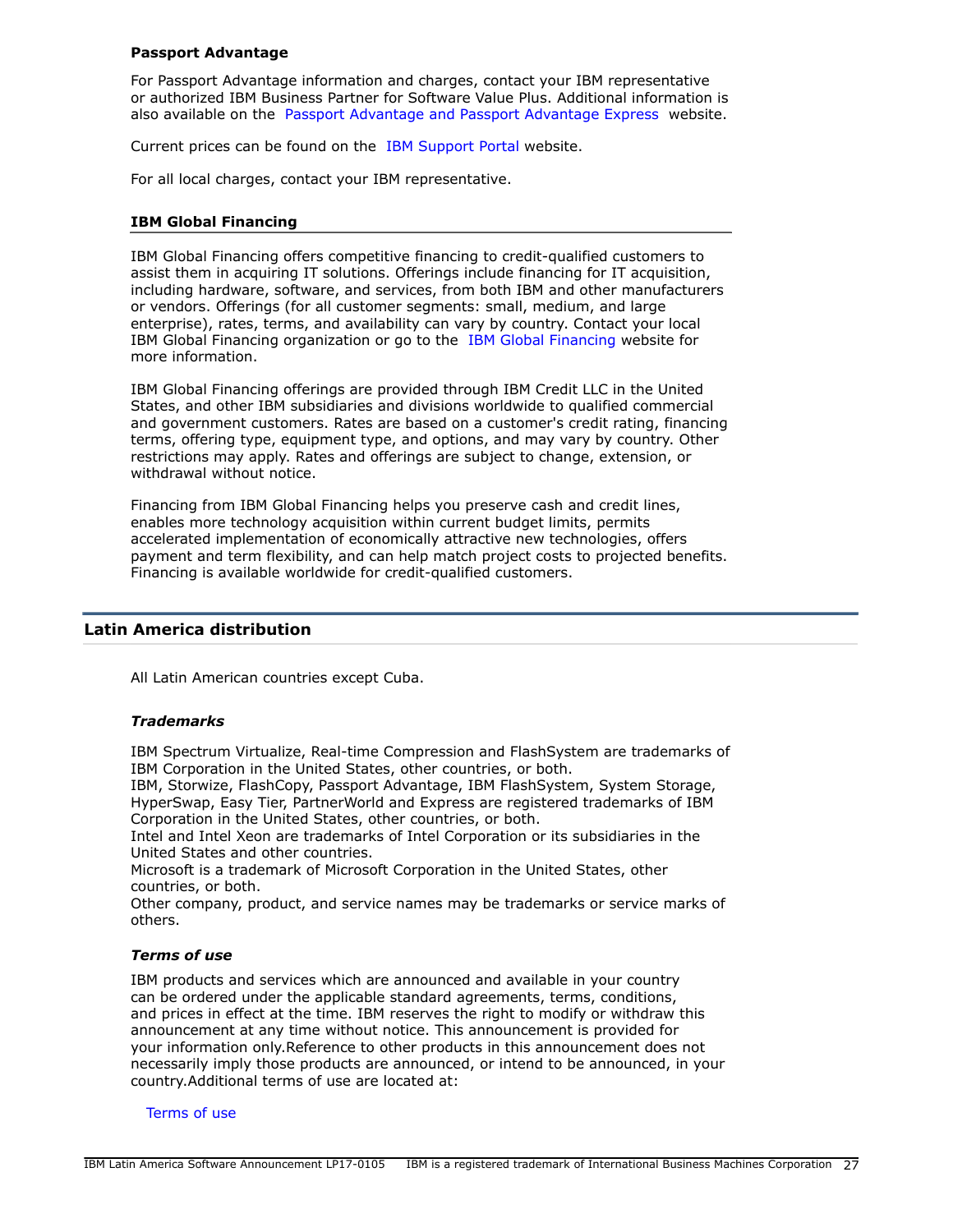#### **Passport Advantage**

For Passport Advantage information and charges, contact your IBM representative or authorized IBM Business Partner for Software Value Plus. Additional information is also available on the [Passport Advantage and Passport Advantage Express](http://www.ibm.com/software/passportadvantage) website.

Current prices can be found on the [IBM Support Portal](http://www.ibm.com/support) website.

For all local charges, contact your IBM representative.

#### **IBM Global Financing**

IBM Global Financing offers competitive financing to credit-qualified customers to assist them in acquiring IT solutions. Offerings include financing for IT acquisition, including hardware, software, and services, from both IBM and other manufacturers or vendors. Offerings (for all customer segments: small, medium, and large enterprise), rates, terms, and availability can vary by country. Contact your local IBM Global Financing organization or go to the [IBM Global Financing](http://www.ibm.com/financing) website for more information.

IBM Global Financing offerings are provided through IBM Credit LLC in the United States, and other IBM subsidiaries and divisions worldwide to qualified commercial and government customers. Rates are based on a customer's credit rating, financing terms, offering type, equipment type, and options, and may vary by country. Other restrictions may apply. Rates and offerings are subject to change, extension, or withdrawal without notice.

Financing from IBM Global Financing helps you preserve cash and credit lines, enables more technology acquisition within current budget limits, permits accelerated implementation of economically attractive new technologies, offers payment and term flexibility, and can help match project costs to projected benefits. Financing is available worldwide for credit-qualified customers.

#### <span id="page-26-0"></span>**Latin America distribution**

All Latin American countries except Cuba.

#### *Trademarks*

IBM Spectrum Virtualize, Real-time Compression and FlashSystem are trademarks of IBM Corporation in the United States, other countries, or both.

IBM, Storwize, FlashCopy, Passport Advantage, IBM FlashSystem, System Storage, HyperSwap, Easy Tier, PartnerWorld and Express are registered trademarks of IBM Corporation in the United States, other countries, or both.

Intel and Intel Xeon are trademarks of Intel Corporation or its subsidiaries in the United States and other countries.

Microsoft is a trademark of Microsoft Corporation in the United States, other countries, or both.

Other company, product, and service names may be trademarks or service marks of others.

#### *Terms of use*

IBM products and services which are announced and available in your country can be ordered under the applicable standard agreements, terms, conditions, and prices in effect at the time. IBM reserves the right to modify or withdraw this announcement at any time without notice. This announcement is provided for your information only.Reference to other products in this announcement does not necessarily imply those products are announced, or intend to be announced, in your country.Additional terms of use are located at:

#### [Terms of use](http://www.ibm.com/legal/us/en/)